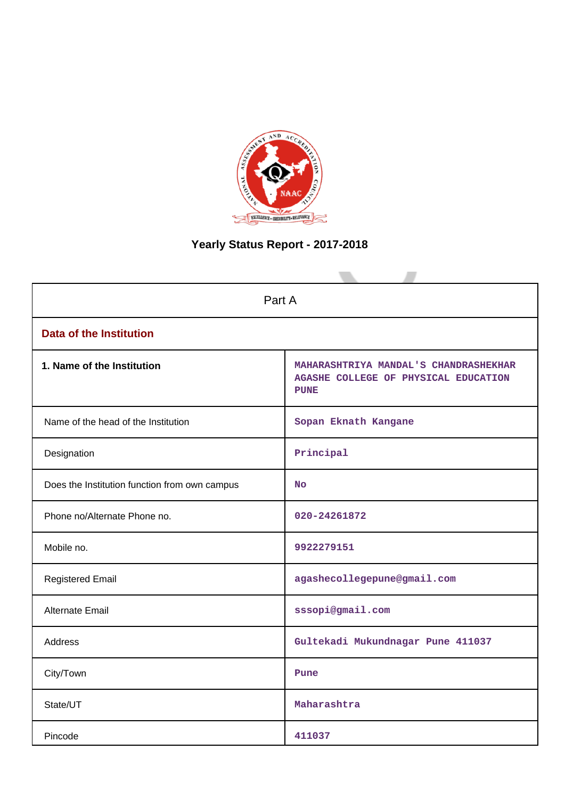

# **Yearly Status Report - 2017-2018**

| Part A                                        |                                                                                              |  |  |
|-----------------------------------------------|----------------------------------------------------------------------------------------------|--|--|
| <b>Data of the Institution</b>                |                                                                                              |  |  |
| 1. Name of the Institution                    | MAHARASHTRIYA MANDAL'S CHANDRASHEKHAR<br>AGASHE COLLEGE OF PHYSICAL EDUCATION<br><b>PUNE</b> |  |  |
| Name of the head of the Institution           | Sopan Eknath Kangane                                                                         |  |  |
| Designation                                   | Principal                                                                                    |  |  |
| Does the Institution function from own campus | <b>No</b>                                                                                    |  |  |
| Phone no/Alternate Phone no.                  | 020-24261872                                                                                 |  |  |
| Mobile no.                                    | 9922279151                                                                                   |  |  |
| <b>Registered Email</b>                       | agashecollegepune@gmail.com                                                                  |  |  |
| Alternate Email                               | sssopi@gmail.com                                                                             |  |  |
| <b>Address</b>                                | Gultekadi Mukundnagar Pune 411037                                                            |  |  |
| City/Town                                     | Pune                                                                                         |  |  |
| State/UT                                      | Maharashtra                                                                                  |  |  |
| Pincode                                       | 411037                                                                                       |  |  |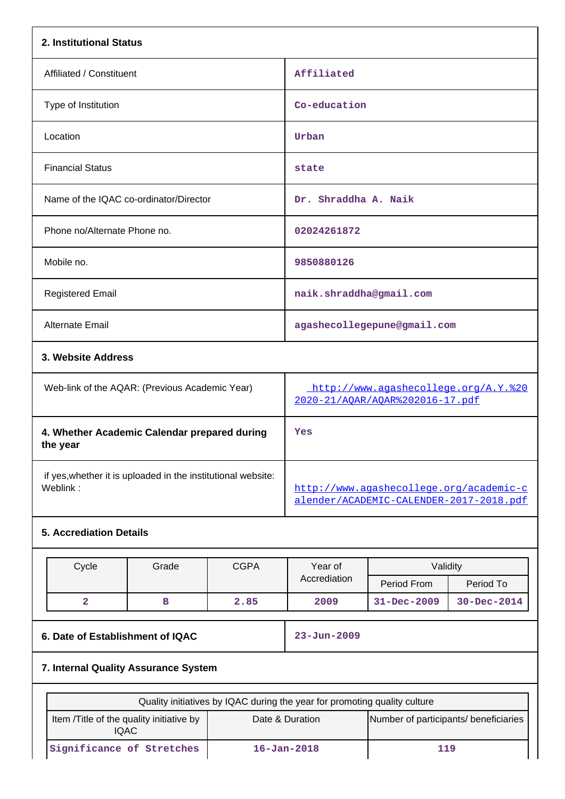| 2. Institutional Status                                                  |                                                |             |                                                                                    |             |                   |  |
|--------------------------------------------------------------------------|------------------------------------------------|-------------|------------------------------------------------------------------------------------|-------------|-------------------|--|
| Affiliated / Constituent                                                 |                                                |             | Affiliated                                                                         |             |                   |  |
| Type of Institution                                                      |                                                |             | Co-education                                                                       |             |                   |  |
| Location                                                                 |                                                |             | Urban                                                                              |             |                   |  |
| <b>Financial Status</b>                                                  |                                                |             | state                                                                              |             |                   |  |
|                                                                          | Name of the IQAC co-ordinator/Director         |             | Dr. Shraddha A. Naik                                                               |             |                   |  |
| Phone no/Alternate Phone no.                                             |                                                |             | 02024261872                                                                        |             |                   |  |
| Mobile no.                                                               |                                                |             | 9850880126                                                                         |             |                   |  |
| <b>Registered Email</b>                                                  |                                                |             | naik.shraddha@gmail.com                                                            |             |                   |  |
| Alternate Email                                                          |                                                |             | agashecollegepune@gmail.com                                                        |             |                   |  |
| 3. Website Address                                                       |                                                |             |                                                                                    |             |                   |  |
|                                                                          | Web-link of the AQAR: (Previous Academic Year) |             | http://www.agashecollege.org/A.Y.%20<br>2020-21/AQAR/AQAR%202016-17.pdf            |             |                   |  |
| 4. Whether Academic Calendar prepared during<br>the year                 |                                                |             | Yes                                                                                |             |                   |  |
| if yes, whether it is uploaded in the institutional website:<br>Weblink: |                                                |             | http://www.agashecollege.org/academic-c<br>alender/ACADEMIC-CALENDER-2017-2018.pdf |             |                   |  |
| <b>5. Accrediation Details</b>                                           |                                                |             |                                                                                    |             |                   |  |
| Cycle                                                                    | Grade                                          | <b>CGPA</b> | Year of                                                                            | Validity    |                   |  |
|                                                                          |                                                |             | Accrediation                                                                       | Period From | Period To         |  |
| $\overline{\mathbf{2}}$                                                  | $\, {\bf B}$                                   | 2.85        | 2009                                                                               | 31-Dec-2009 | $30 - Dec - 2014$ |  |

**6. Date of Establishment of IQAC 23-Jun-2009**

## **7. Internal Quality Assurance System**

| Quality initiatives by IQAC during the year for promoting quality culture |                   |                                       |  |  |
|---------------------------------------------------------------------------|-------------------|---------------------------------------|--|--|
| Item /Title of the quality initiative by<br><b>IQAC</b>                   | Date & Duration   | Number of participants/ beneficiaries |  |  |
| Significance of Stretches                                                 | $16 - Jan - 2018$ | 119                                   |  |  |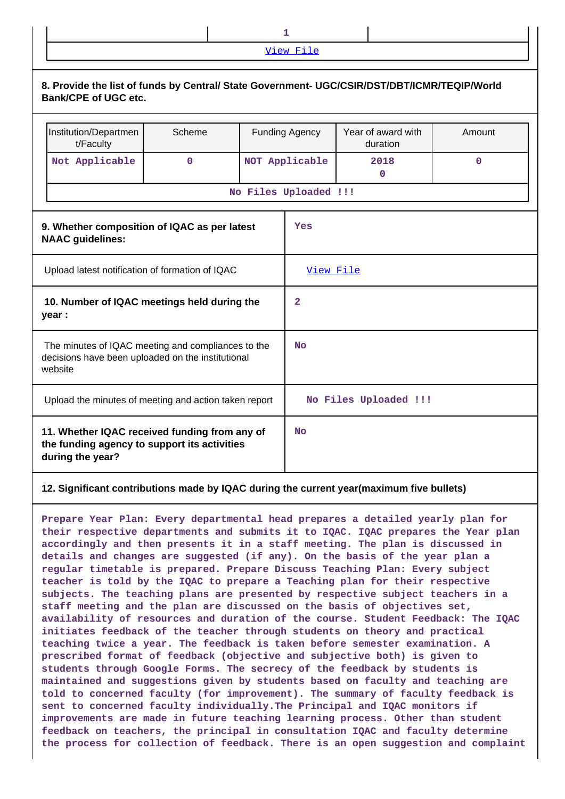|                                                                         |                                                                                                                             |          |           |                | 1                     |                                |        |  |  |
|-------------------------------------------------------------------------|-----------------------------------------------------------------------------------------------------------------------------|----------|-----------|----------------|-----------------------|--------------------------------|--------|--|--|
|                                                                         |                                                                                                                             |          |           |                | View File             |                                |        |  |  |
|                                                                         | 8. Provide the list of funds by Central/ State Government- UGC/CSIR/DST/DBT/ICMR/TEQIP/World<br><b>Bank/CPE of UGC etc.</b> |          |           |                |                       |                                |        |  |  |
|                                                                         | Institution/Departmen<br>t/Faculty                                                                                          | Scheme   |           |                | <b>Funding Agency</b> | Year of award with<br>duration | Amount |  |  |
|                                                                         | Not Applicable                                                                                                              | $\Omega$ |           |                | NOT Applicable        | 2018<br>$\Omega$               | 0      |  |  |
|                                                                         |                                                                                                                             |          |           |                | No Files Uploaded !!! |                                |        |  |  |
| 9. Whether composition of IQAC as per latest<br><b>NAAC</b> guidelines: |                                                                                                                             |          |           | Yes            |                       |                                |        |  |  |
| Upload latest notification of formation of IQAC                         |                                                                                                                             |          | View File |                |                       |                                |        |  |  |
| 10. Number of IQAC meetings held during the<br>year :                   |                                                                                                                             |          |           | $\overline{2}$ |                       |                                |        |  |  |
|                                                                         | The minutes of IQAC meeting and compliances to the<br>decisions have been uploaded on the institutional<br>website          |          |           | <b>No</b>      |                       |                                |        |  |  |
|                                                                         | Upload the minutes of meeting and action taken report                                                                       |          |           |                | No Files Uploaded !!! |                                |        |  |  |
|                                                                         | 11. Whether IQAC received funding from any of<br>the funding agency to support its activities<br>during the year?           |          |           | <b>No</b>      |                       |                                |        |  |  |

#### **12. Significant contributions made by IQAC during the current year(maximum five bullets)**

**Prepare Year Plan: Every departmental head prepares a detailed yearly plan for their respective departments and submits it to IQAC. IQAC prepares the Year plan accordingly and then presents it in a staff meeting. The plan is discussed in details and changes are suggested (if any). On the basis of the year plan a regular timetable is prepared. Prepare Discuss Teaching Plan: Every subject teacher is told by the IQAC to prepare a Teaching plan for their respective subjects. The teaching plans are presented by respective subject teachers in a staff meeting and the plan are discussed on the basis of objectives set, availability of resources and duration of the course. Student Feedback: The IQAC initiates feedback of the teacher through students on theory and practical teaching twice a year. The feedback is taken before semester examination. A prescribed format of feedback (objective and subjective both) is given to students through Google Forms. The secrecy of the feedback by students is maintained and suggestions given by students based on faculty and teaching are told to concerned faculty (for improvement). The summary of faculty feedback is sent to concerned faculty individually.The Principal and IQAC monitors if improvements are made in future teaching learning process. Other than student feedback on teachers, the principal in consultation IQAC and faculty determine the process for collection of feedback. There is an open suggestion and complaint**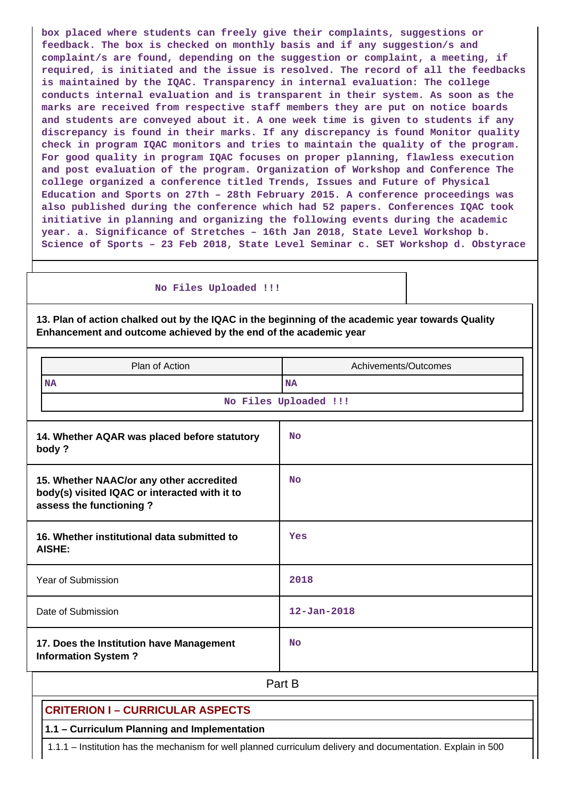**box placed where students can freely give their complaints, suggestions or feedback. The box is checked on monthly basis and if any suggestion/s and complaint/s are found, depending on the suggestion or complaint, a meeting, if required, is initiated and the issue is resolved. The record of all the feedbacks is maintained by the IQAC. Transparency in internal evaluation: The college conducts internal evaluation and is transparent in their system. As soon as the marks are received from respective staff members they are put on notice boards and students are conveyed about it. A one week time is given to students if any discrepancy is found in their marks. If any discrepancy is found Monitor quality check in program IQAC monitors and tries to maintain the quality of the program. For good quality in program IQAC focuses on proper planning, flawless execution and post evaluation of the program. Organization of Workshop and Conference The college organized a conference titled Trends, Issues and Future of Physical Education and Sports on 27th – 28th February 2015. A conference proceedings was also published during the conference which had 52 papers. Conferences IQAC took initiative in planning and organizing the following events during the academic year. a. Significance of Stretches – 16th Jan 2018, State Level Workshop b. Science of Sports – 23 Feb 2018, State Level Seminar c. SET Workshop d. Obstyrace**

#### **No Files Uploaded !!!**

**13. Plan of action chalked out by the IQAC in the beginning of the academic year towards Quality Enhancement and outcome achieved by the end of the academic year**

| Plan of Action                                                                                                       | Achivements/Outcomes  |
|----------------------------------------------------------------------------------------------------------------------|-----------------------|
| <b>NA</b>                                                                                                            | <b>NA</b>             |
|                                                                                                                      | No Files Uploaded !!! |
| 14. Whether AQAR was placed before statutory<br>body?                                                                | <b>No</b>             |
| 15. Whether NAAC/or any other accredited<br>body(s) visited IQAC or interacted with it to<br>assess the functioning? | <b>No</b>             |
| 16. Whether institutional data submitted to<br><b>AISHE:</b>                                                         | Yes                   |
| Year of Submission                                                                                                   | 2018                  |
| Date of Submission                                                                                                   | $12 - Jan - 2018$     |
| 17. Does the Institution have Management<br><b>Information System?</b>                                               | <b>No</b>             |
|                                                                                                                      | Part B                |
| <b>CRITERION I - CURRICULAR ASPECTS</b>                                                                              |                       |
| 1.1 - Curriculum Planning and Implementation                                                                         |                       |
|                                                                                                                      |                       |

1.1.1 – Institution has the mechanism for well planned curriculum delivery and documentation. Explain in 500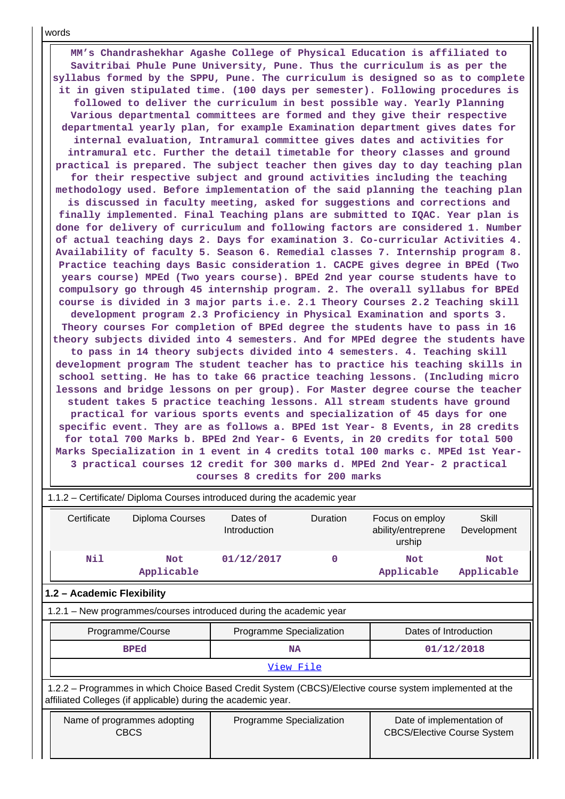words

 **MM's Chandrashekhar Agashe College of Physical Education is affiliated to Savitribai Phule Pune University, Pune. Thus the curriculum is as per the syllabus formed by the SPPU, Pune. The curriculum is designed so as to complete it in given stipulated time. (100 days per semester). Following procedures is followed to deliver the curriculum in best possible way. Yearly Planning Various departmental committees are formed and they give their respective departmental yearly plan, for example Examination department gives dates for internal evaluation, Intramural committee gives dates and activities for intramural etc. Further the detail timetable for theory classes and ground practical is prepared. The subject teacher then gives day to day teaching plan for their respective subject and ground activities including the teaching methodology used. Before implementation of the said planning the teaching plan is discussed in faculty meeting, asked for suggestions and corrections and finally implemented. Final Teaching plans are submitted to IQAC. Year plan is done for delivery of curriculum and following factors are considered 1. Number of actual teaching days 2. Days for examination 3. Co-curricular Activities 4. Availability of faculty 5. Season 6. Remedial classes 7. Internship program 8. Practice teaching days Basic consideration 1. CACPE gives degree in BPEd (Two years course) MPEd (Two years course). BPEd 2nd year course students have to compulsory go through 45 internship program. 2. The overall syllabus for BPEd course is divided in 3 major parts i.e. 2.1 Theory Courses 2.2 Teaching skill development program 2.3 Proficiency in Physical Examination and sports 3. Theory courses For completion of BPEd degree the students have to pass in 16 theory subjects divided into 4 semesters. And for MPEd degree the students have to pass in 14 theory subjects divided into 4 semesters. 4. Teaching skill development program The student teacher has to practice his teaching skills in school setting. He has to take 66 practice teaching lessons. (Including micro lessons and bridge lessons on per group). For Master degree course the teacher student takes 5 practice teaching lessons. All stream students have ground practical for various sports events and specialization of 45 days for one specific event. They are as follows a. BPEd 1st Year- 8 Events, in 28 credits for total 700 Marks b. BPEd 2nd Year- 6 Events, in 20 credits for total 500 Marks Specialization in 1 event in 4 credits total 100 marks c. MPEd 1st Year-3 practical courses 12 credit for 300 marks d. MPEd 2nd Year- 2 practical courses 8 credits for 200 marks**

|                                                                                                                                                                          | 1.1.2 – Certificate/ Diploma Courses introduced during the academic year                                                                  |                                                                    |                          |                 |                                                 |                          |  |  |
|--------------------------------------------------------------------------------------------------------------------------------------------------------------------------|-------------------------------------------------------------------------------------------------------------------------------------------|--------------------------------------------------------------------|--------------------------|-----------------|-------------------------------------------------|--------------------------|--|--|
|                                                                                                                                                                          | Certificate                                                                                                                               | Diploma Courses                                                    | Dates of<br>Introduction | <b>Duration</b> | Focus on employ<br>ability/entreprene<br>urship | Skill<br>Development     |  |  |
|                                                                                                                                                                          | Nil                                                                                                                                       | <b>Not</b><br>Applicable                                           | 01/12/2017               | $\mathbf 0$     | <b>Not</b><br>Applicable                        | <b>Not</b><br>Applicable |  |  |
|                                                                                                                                                                          | 1.2 - Academic Flexibility                                                                                                                |                                                                    |                          |                 |                                                 |                          |  |  |
|                                                                                                                                                                          |                                                                                                                                           | 1.2.1 – New programmes/courses introduced during the academic year |                          |                 |                                                 |                          |  |  |
|                                                                                                                                                                          |                                                                                                                                           | Programme/Course                                                   | Programme Specialization |                 | Dates of Introduction                           |                          |  |  |
|                                                                                                                                                                          |                                                                                                                                           | <b>BPEd</b>                                                        | <b>NA</b>                |                 | 01/12/2018                                      |                          |  |  |
|                                                                                                                                                                          |                                                                                                                                           |                                                                    |                          | View File       |                                                 |                          |  |  |
| 1.2.2 - Programmes in which Choice Based Credit System (CBCS)/Elective course system implemented at the<br>affiliated Colleges (if applicable) during the academic year. |                                                                                                                                           |                                                                    |                          |                 |                                                 |                          |  |  |
|                                                                                                                                                                          | Programme Specialization<br>Date of implementation of<br>Name of programmes adopting<br><b>CBCS</b><br><b>CBCS/Elective Course System</b> |                                                                    |                          |                 |                                                 |                          |  |  |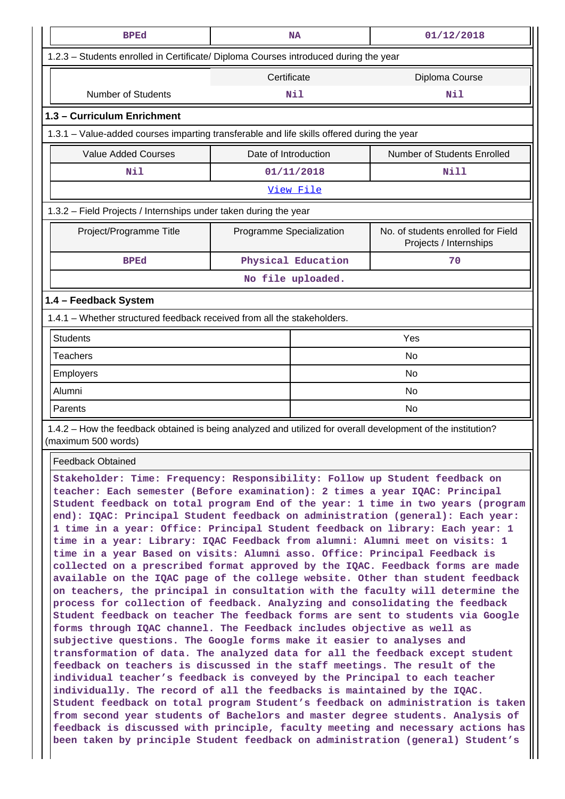| <b>BPEd</b>                                                                                                                                                                                                                                                                                                                                                                                                                                                                                                                                                                                                                                                                                                                                                                                                                                                                                                                                                                                                                                                                                                                                                                                                                                                                                                                                                                                                                                                                                                                                                                                                                                                                                                                                                                                                                  |                          | <b>NA</b>          | 01/12/2018                                                   |  |  |  |
|------------------------------------------------------------------------------------------------------------------------------------------------------------------------------------------------------------------------------------------------------------------------------------------------------------------------------------------------------------------------------------------------------------------------------------------------------------------------------------------------------------------------------------------------------------------------------------------------------------------------------------------------------------------------------------------------------------------------------------------------------------------------------------------------------------------------------------------------------------------------------------------------------------------------------------------------------------------------------------------------------------------------------------------------------------------------------------------------------------------------------------------------------------------------------------------------------------------------------------------------------------------------------------------------------------------------------------------------------------------------------------------------------------------------------------------------------------------------------------------------------------------------------------------------------------------------------------------------------------------------------------------------------------------------------------------------------------------------------------------------------------------------------------------------------------------------------|--------------------------|--------------------|--------------------------------------------------------------|--|--|--|
| 1.2.3 - Students enrolled in Certificate/ Diploma Courses introduced during the year                                                                                                                                                                                                                                                                                                                                                                                                                                                                                                                                                                                                                                                                                                                                                                                                                                                                                                                                                                                                                                                                                                                                                                                                                                                                                                                                                                                                                                                                                                                                                                                                                                                                                                                                         |                          |                    |                                                              |  |  |  |
|                                                                                                                                                                                                                                                                                                                                                                                                                                                                                                                                                                                                                                                                                                                                                                                                                                                                                                                                                                                                                                                                                                                                                                                                                                                                                                                                                                                                                                                                                                                                                                                                                                                                                                                                                                                                                              | Certificate              |                    | Diploma Course                                               |  |  |  |
| Number of Students                                                                                                                                                                                                                                                                                                                                                                                                                                                                                                                                                                                                                                                                                                                                                                                                                                                                                                                                                                                                                                                                                                                                                                                                                                                                                                                                                                                                                                                                                                                                                                                                                                                                                                                                                                                                           |                          | Nil                | Nil                                                          |  |  |  |
| 1.3 - Curriculum Enrichment                                                                                                                                                                                                                                                                                                                                                                                                                                                                                                                                                                                                                                                                                                                                                                                                                                                                                                                                                                                                                                                                                                                                                                                                                                                                                                                                                                                                                                                                                                                                                                                                                                                                                                                                                                                                  |                          |                    |                                                              |  |  |  |
| 1.3.1 - Value-added courses imparting transferable and life skills offered during the year                                                                                                                                                                                                                                                                                                                                                                                                                                                                                                                                                                                                                                                                                                                                                                                                                                                                                                                                                                                                                                                                                                                                                                                                                                                                                                                                                                                                                                                                                                                                                                                                                                                                                                                                   |                          |                    |                                                              |  |  |  |
| <b>Value Added Courses</b>                                                                                                                                                                                                                                                                                                                                                                                                                                                                                                                                                                                                                                                                                                                                                                                                                                                                                                                                                                                                                                                                                                                                                                                                                                                                                                                                                                                                                                                                                                                                                                                                                                                                                                                                                                                                   | Date of Introduction     |                    | Number of Students Enrolled                                  |  |  |  |
| Nil                                                                                                                                                                                                                                                                                                                                                                                                                                                                                                                                                                                                                                                                                                                                                                                                                                                                                                                                                                                                                                                                                                                                                                                                                                                                                                                                                                                                                                                                                                                                                                                                                                                                                                                                                                                                                          |                          | 01/11/2018         | <b>Nill</b>                                                  |  |  |  |
|                                                                                                                                                                                                                                                                                                                                                                                                                                                                                                                                                                                                                                                                                                                                                                                                                                                                                                                                                                                                                                                                                                                                                                                                                                                                                                                                                                                                                                                                                                                                                                                                                                                                                                                                                                                                                              |                          | View File          |                                                              |  |  |  |
| 1.3.2 - Field Projects / Internships under taken during the year                                                                                                                                                                                                                                                                                                                                                                                                                                                                                                                                                                                                                                                                                                                                                                                                                                                                                                                                                                                                                                                                                                                                                                                                                                                                                                                                                                                                                                                                                                                                                                                                                                                                                                                                                             |                          |                    |                                                              |  |  |  |
| Project/Programme Title                                                                                                                                                                                                                                                                                                                                                                                                                                                                                                                                                                                                                                                                                                                                                                                                                                                                                                                                                                                                                                                                                                                                                                                                                                                                                                                                                                                                                                                                                                                                                                                                                                                                                                                                                                                                      | Programme Specialization |                    | No. of students enrolled for Field<br>Projects / Internships |  |  |  |
| <b>BPEd</b>                                                                                                                                                                                                                                                                                                                                                                                                                                                                                                                                                                                                                                                                                                                                                                                                                                                                                                                                                                                                                                                                                                                                                                                                                                                                                                                                                                                                                                                                                                                                                                                                                                                                                                                                                                                                                  |                          | Physical Education | 70                                                           |  |  |  |
|                                                                                                                                                                                                                                                                                                                                                                                                                                                                                                                                                                                                                                                                                                                                                                                                                                                                                                                                                                                                                                                                                                                                                                                                                                                                                                                                                                                                                                                                                                                                                                                                                                                                                                                                                                                                                              |                          | No file uploaded.  |                                                              |  |  |  |
| 1.4 - Feedback System                                                                                                                                                                                                                                                                                                                                                                                                                                                                                                                                                                                                                                                                                                                                                                                                                                                                                                                                                                                                                                                                                                                                                                                                                                                                                                                                                                                                                                                                                                                                                                                                                                                                                                                                                                                                        |                          |                    |                                                              |  |  |  |
| 1.4.1 - Whether structured feedback received from all the stakeholders.                                                                                                                                                                                                                                                                                                                                                                                                                                                                                                                                                                                                                                                                                                                                                                                                                                                                                                                                                                                                                                                                                                                                                                                                                                                                                                                                                                                                                                                                                                                                                                                                                                                                                                                                                      |                          |                    |                                                              |  |  |  |
| <b>Students</b>                                                                                                                                                                                                                                                                                                                                                                                                                                                                                                                                                                                                                                                                                                                                                                                                                                                                                                                                                                                                                                                                                                                                                                                                                                                                                                                                                                                                                                                                                                                                                                                                                                                                                                                                                                                                              |                          |                    | Yes                                                          |  |  |  |
| <b>Teachers</b>                                                                                                                                                                                                                                                                                                                                                                                                                                                                                                                                                                                                                                                                                                                                                                                                                                                                                                                                                                                                                                                                                                                                                                                                                                                                                                                                                                                                                                                                                                                                                                                                                                                                                                                                                                                                              |                          | No                 |                                                              |  |  |  |
| Employers                                                                                                                                                                                                                                                                                                                                                                                                                                                                                                                                                                                                                                                                                                                                                                                                                                                                                                                                                                                                                                                                                                                                                                                                                                                                                                                                                                                                                                                                                                                                                                                                                                                                                                                                                                                                                    |                          | No                 |                                                              |  |  |  |
| Alumni                                                                                                                                                                                                                                                                                                                                                                                                                                                                                                                                                                                                                                                                                                                                                                                                                                                                                                                                                                                                                                                                                                                                                                                                                                                                                                                                                                                                                                                                                                                                                                                                                                                                                                                                                                                                                       |                          | No                 |                                                              |  |  |  |
| Parents                                                                                                                                                                                                                                                                                                                                                                                                                                                                                                                                                                                                                                                                                                                                                                                                                                                                                                                                                                                                                                                                                                                                                                                                                                                                                                                                                                                                                                                                                                                                                                                                                                                                                                                                                                                                                      |                          | No                 |                                                              |  |  |  |
| 1.4.2 - How the feedback obtained is being analyzed and utilized for overall development of the institution?<br>(maximum 500 words)                                                                                                                                                                                                                                                                                                                                                                                                                                                                                                                                                                                                                                                                                                                                                                                                                                                                                                                                                                                                                                                                                                                                                                                                                                                                                                                                                                                                                                                                                                                                                                                                                                                                                          |                          |                    |                                                              |  |  |  |
| <b>Feedback Obtained</b>                                                                                                                                                                                                                                                                                                                                                                                                                                                                                                                                                                                                                                                                                                                                                                                                                                                                                                                                                                                                                                                                                                                                                                                                                                                                                                                                                                                                                                                                                                                                                                                                                                                                                                                                                                                                     |                          |                    |                                                              |  |  |  |
| Stakeholder: Time: Frequency: Responsibility: Follow up Student feedback on<br>teacher: Each semester (Before examination): 2 times a year IQAC: Principal<br>Student feedback on total program End of the year: 1 time in two years (program<br>end): IQAC: Principal Student feedback on administration (general): Each year:<br>1 time in a year: Office: Principal Student feedback on library: Each year: 1<br>time in a year: Library: IQAC Feedback from alumni: Alumni meet on visits: 1<br>time in a year Based on visits: Alumni asso. Office: Principal Feedback is<br>collected on a prescribed format approved by the IQAC. Feedback forms are made<br>available on the IQAC page of the college website. Other than student feedback<br>on teachers, the principal in consultation with the faculty will determine the<br>process for collection of feedback. Analyzing and consolidating the feedback<br>Student feedback on teacher The feedback forms are sent to students via Google<br>forms through IQAC channel. The Feedback includes objective as well as<br>subjective questions. The Google forms make it easier to analyses and<br>transformation of data. The analyzed data for all the feedback except student<br>feedback on teachers is discussed in the staff meetings. The result of the<br>individual teacher's feedback is conveyed by the Principal to each teacher<br>individually. The record of all the feedbacks is maintained by the IQAC.<br>Student feedback on total program Student's feedback on administration is taken<br>from second year students of Bachelors and master degree students. Analysis of<br>feedback is discussed with principle, faculty meeting and necessary actions has<br>been taken by principle Student feedback on administration (general) Student's |                          |                    |                                                              |  |  |  |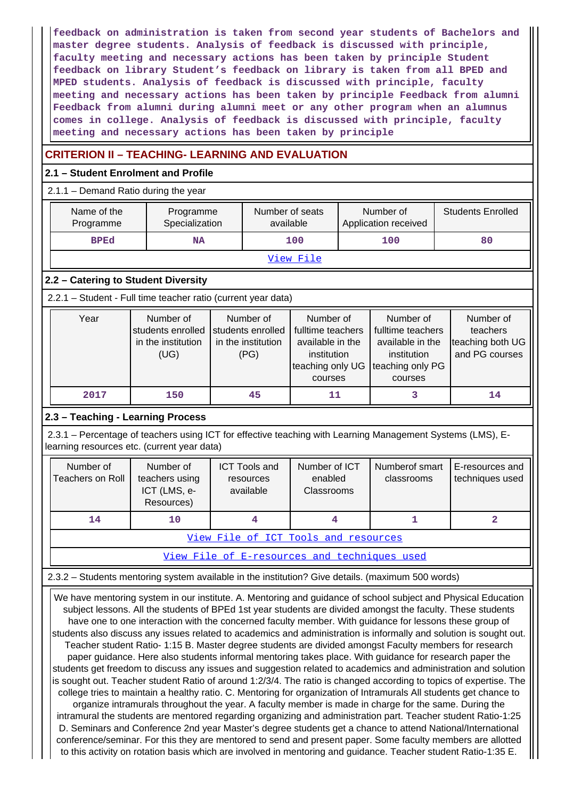**feedback on administration is taken from second year students of Bachelors and master degree students. Analysis of feedback is discussed with principle, faculty meeting and necessary actions has been taken by principle Student feedback on library Student's feedback on library is taken from all BPED and MPED students. Analysis of feedback is discussed with principle, faculty meeting and necessary actions has been taken by principle Feedback from alumni Feedback from alumni during alumni meet or any other program when an alumnus comes in college. Analysis of feedback is discussed with principle, faculty meeting and necessary actions has been taken by principle**

## **CRITERION II – TEACHING- LEARNING AND EVALUATION**

#### **2.1 – Student Enrolment and Profile**

 $\sqrt{211}$  – Demand Ratio during the year

|                                                                                                                                                                                                                                                                                                                                                                                                                                                                                                                                                                                                                                                                                                                                                                                                                                                                                                                                                                                                                                                                                                                                                                                                                                                                                                                                                                                                                                                                                                                                                                                                              | $\mathsf{L}$ Domand Ratio during the year                    |  |                                                              |                                                                                                  |  |                                                                                                  |                                                             |
|--------------------------------------------------------------------------------------------------------------------------------------------------------------------------------------------------------------------------------------------------------------------------------------------------------------------------------------------------------------------------------------------------------------------------------------------------------------------------------------------------------------------------------------------------------------------------------------------------------------------------------------------------------------------------------------------------------------------------------------------------------------------------------------------------------------------------------------------------------------------------------------------------------------------------------------------------------------------------------------------------------------------------------------------------------------------------------------------------------------------------------------------------------------------------------------------------------------------------------------------------------------------------------------------------------------------------------------------------------------------------------------------------------------------------------------------------------------------------------------------------------------------------------------------------------------------------------------------------------------|--------------------------------------------------------------|--|--------------------------------------------------------------|--------------------------------------------------------------------------------------------------|--|--------------------------------------------------------------------------------------------------|-------------------------------------------------------------|
| Name of the<br>Programme                                                                                                                                                                                                                                                                                                                                                                                                                                                                                                                                                                                                                                                                                                                                                                                                                                                                                                                                                                                                                                                                                                                                                                                                                                                                                                                                                                                                                                                                                                                                                                                     | Programme<br>Specialization                                  |  | Number of seats<br>available                                 |                                                                                                  |  | Number of<br>Application received                                                                | <b>Students Enrolled</b>                                    |
| <b>BPEd</b>                                                                                                                                                                                                                                                                                                                                                                                                                                                                                                                                                                                                                                                                                                                                                                                                                                                                                                                                                                                                                                                                                                                                                                                                                                                                                                                                                                                                                                                                                                                                                                                                  | <b>NA</b>                                                    |  |                                                              | 100                                                                                              |  | 100                                                                                              | 80                                                          |
|                                                                                                                                                                                                                                                                                                                                                                                                                                                                                                                                                                                                                                                                                                                                                                                                                                                                                                                                                                                                                                                                                                                                                                                                                                                                                                                                                                                                                                                                                                                                                                                                              |                                                              |  |                                                              | View File                                                                                        |  |                                                                                                  |                                                             |
| 2.2 - Catering to Student Diversity                                                                                                                                                                                                                                                                                                                                                                                                                                                                                                                                                                                                                                                                                                                                                                                                                                                                                                                                                                                                                                                                                                                                                                                                                                                                                                                                                                                                                                                                                                                                                                          |                                                              |  |                                                              |                                                                                                  |  |                                                                                                  |                                                             |
| 2.2.1 - Student - Full time teacher ratio (current year data)                                                                                                                                                                                                                                                                                                                                                                                                                                                                                                                                                                                                                                                                                                                                                                                                                                                                                                                                                                                                                                                                                                                                                                                                                                                                                                                                                                                                                                                                                                                                                |                                                              |  |                                                              |                                                                                                  |  |                                                                                                  |                                                             |
| Year                                                                                                                                                                                                                                                                                                                                                                                                                                                                                                                                                                                                                                                                                                                                                                                                                                                                                                                                                                                                                                                                                                                                                                                                                                                                                                                                                                                                                                                                                                                                                                                                         | Number of<br>students enrolled<br>in the institution<br>(UG) |  | Number of<br>students enrolled<br>in the institution<br>(PG) | Number of<br>fulltime teachers<br>available in the<br>institution<br>teaching only UG<br>courses |  | Number of<br>fulltime teachers<br>available in the<br>institution<br>teaching only PG<br>courses | Number of<br>teachers<br>teaching both UG<br>and PG courses |
| 2017                                                                                                                                                                                                                                                                                                                                                                                                                                                                                                                                                                                                                                                                                                                                                                                                                                                                                                                                                                                                                                                                                                                                                                                                                                                                                                                                                                                                                                                                                                                                                                                                         | 150                                                          |  | 45                                                           | 11                                                                                               |  | 3                                                                                                | 14                                                          |
| 2.3 - Teaching - Learning Process                                                                                                                                                                                                                                                                                                                                                                                                                                                                                                                                                                                                                                                                                                                                                                                                                                                                                                                                                                                                                                                                                                                                                                                                                                                                                                                                                                                                                                                                                                                                                                            |                                                              |  |                                                              |                                                                                                  |  |                                                                                                  |                                                             |
| 2.3.1 - Percentage of teachers using ICT for effective teaching with Learning Management Systems (LMS), E-<br>learning resources etc. (current year data)                                                                                                                                                                                                                                                                                                                                                                                                                                                                                                                                                                                                                                                                                                                                                                                                                                                                                                                                                                                                                                                                                                                                                                                                                                                                                                                                                                                                                                                    |                                                              |  |                                                              |                                                                                                  |  |                                                                                                  |                                                             |
| Number of<br><b>Teachers on Roll</b>                                                                                                                                                                                                                                                                                                                                                                                                                                                                                                                                                                                                                                                                                                                                                                                                                                                                                                                                                                                                                                                                                                                                                                                                                                                                                                                                                                                                                                                                                                                                                                         | Number of<br>teachers using<br>ICT (LMS, e-<br>Resources)    |  | <b>ICT Tools and</b><br>resources<br>available               | Number of ICT<br>enabled<br>Classrooms                                                           |  | Numberof smart<br>classrooms                                                                     | E-resources and<br>techniques used                          |
| 14                                                                                                                                                                                                                                                                                                                                                                                                                                                                                                                                                                                                                                                                                                                                                                                                                                                                                                                                                                                                                                                                                                                                                                                                                                                                                                                                                                                                                                                                                                                                                                                                           | 10                                                           |  | 4                                                            | 4                                                                                                |  | $\mathbf{1}$                                                                                     | $\overline{2}$                                              |
|                                                                                                                                                                                                                                                                                                                                                                                                                                                                                                                                                                                                                                                                                                                                                                                                                                                                                                                                                                                                                                                                                                                                                                                                                                                                                                                                                                                                                                                                                                                                                                                                              |                                                              |  |                                                              | View File of ICT Tools and resources                                                             |  |                                                                                                  |                                                             |
|                                                                                                                                                                                                                                                                                                                                                                                                                                                                                                                                                                                                                                                                                                                                                                                                                                                                                                                                                                                                                                                                                                                                                                                                                                                                                                                                                                                                                                                                                                                                                                                                              |                                                              |  |                                                              |                                                                                                  |  | View File of E-resources and techniques used                                                     |                                                             |
|                                                                                                                                                                                                                                                                                                                                                                                                                                                                                                                                                                                                                                                                                                                                                                                                                                                                                                                                                                                                                                                                                                                                                                                                                                                                                                                                                                                                                                                                                                                                                                                                              |                                                              |  |                                                              |                                                                                                  |  |                                                                                                  |                                                             |
| 2.3.2 - Students mentoring system available in the institution? Give details. (maximum 500 words)<br>We have mentoring system in our institute. A. Mentoring and guidance of school subject and Physical Education<br>subject lessons. All the students of BPEd 1st year students are divided amongst the faculty. These students<br>have one to one interaction with the concerned faculty member. With guidance for lessons these group of<br>students also discuss any issues related to academics and administration is informally and solution is sought out.<br>Teacher student Ratio- 1:15 B. Master degree students are divided amongst Faculty members for research<br>paper guidance. Here also students informal mentoring takes place. With guidance for research paper the<br>students get freedom to discuss any issues and suggestion related to academics and administration and solution<br>is sought out. Teacher student Ratio of around 1:2/3/4. The ratio is changed according to topics of expertise. The<br>college tries to maintain a healthy ratio. C. Mentoring for organization of Intramurals All students get chance to<br>organize intramurals throughout the year. A faculty member is made in charge for the same. During the<br>intramural the students are mentored regarding organizing and administration part. Teacher student Ratio-1:25<br>D. Seminars and Conference 2nd year Master's degree students get a chance to attend National/International<br>conference/seminar. For this they are mentored to send and present paper. Some faculty members are allotted |                                                              |  |                                                              |                                                                                                  |  |                                                                                                  |                                                             |

to this activity on rotation basis which are involved in mentoring and guidance. Teacher student Ratio-1:35 E.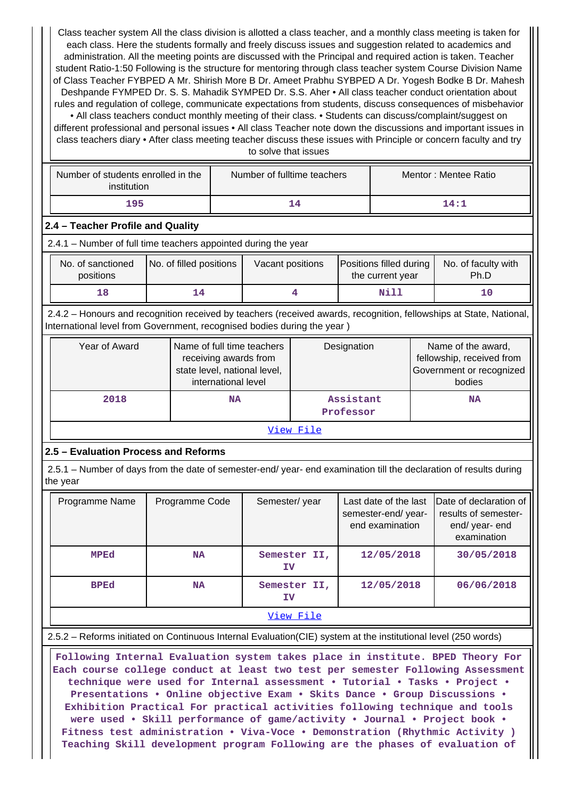Class teacher system All the class division is allotted a class teacher, and a monthly class meeting is taken for each class. Here the students formally and freely discuss issues and suggestion related to academics and administration. All the meeting points are discussed with the Principal and required action is taken. Teacher student Ratio-1:50 Following is the structure for mentoring through class teacher system Course Division Name of Class Teacher FYBPED A Mr. Shirish More B Dr. Ameet Prabhu SYBPED A Dr. Yogesh Bodke B Dr. Mahesh Deshpande FYMPED Dr. S. S. Mahadik SYMPED Dr. S.S. Aher • All class teacher conduct orientation about rules and regulation of college, communicate expectations from students, discuss consequences of misbehavior • All class teachers conduct monthly meeting of their class. • Students can discuss/complaint/suggest on different professional and personal issues • All class Teacher note down the discussions and important issues in class teachers diary • After class meeting teacher discuss these issues with Principle or concern faculty and try to solve that issues

| Number of students enrolled in the<br>institution | Number of fulltime teachers | Mentor: Mentee Ratio |
|---------------------------------------------------|-----------------------------|----------------------|
| 195                                               | 14                          | 14:1                 |

## **2.4 – Teacher Profile and Quality**

2.4.1 – Number of full time teachers appointed during the year

| No. of sanctioned<br>positions | No. of filled positions | Vacant positions | Positions filled during<br>the current year | No. of faculty with<br>Ph.D |
|--------------------------------|-------------------------|------------------|---------------------------------------------|-----------------------------|
| 18                             |                         |                  | Nill                                        |                             |

 2.4.2 – Honours and recognition received by teachers (received awards, recognition, fellowships at State, National, International level from Government, recognised bodies during the year )

| Year of Award     | Name of full time teachers<br>receiving awards from<br>state level, national level,<br>international level | Designation            | Name of the award,<br>fellowship, received from<br>Government or recognized<br>bodies |  |  |
|-------------------|------------------------------------------------------------------------------------------------------------|------------------------|---------------------------------------------------------------------------------------|--|--|
| 2018              | NA                                                                                                         | Assistant<br>Professor | <b>NA</b>                                                                             |  |  |
| ママキ マー・マー キュー・コード |                                                                                                            |                        |                                                                                       |  |  |

[View File](https://assessmentonline.naac.gov.in/public/Postacc/Honours_recieved/5291_Honours_recieved_1584607304.xlsx)

#### **2.5 – Evaluation Process and Reforms**

 2.5.1 – Number of days from the date of semester-end/ year- end examination till the declaration of results during the year

| Programme Name | Programme Code | Semester/year      | Last date of the last<br>semester-end/year-<br>end examination | Date of declaration of<br>results of semester-<br>end/year-end<br>examination |  |
|----------------|----------------|--------------------|----------------------------------------------------------------|-------------------------------------------------------------------------------|--|
| MPEd           | <b>NA</b>      | Semester II,<br>ΙV | 12/05/2018                                                     | 30/05/2018                                                                    |  |
| <b>BPEd</b>    | <b>NA</b>      | Semester II,<br>ΙV | 12/05/2018                                                     | 06/06/2018                                                                    |  |
| View File      |                |                    |                                                                |                                                                               |  |

#### 2.5.2 – Reforms initiated on Continuous Internal Evaluation(CIE) system at the institutional level (250 words)

 **Following Internal Evaluation system takes place in institute. BPED Theory For Each course college conduct at least two test per semester Following Assessment technique were used for Internal assessment • Tutorial • Tasks • Project • Presentations • Online objective Exam • Skits Dance • Group Discussions • Exhibition Practical For practical activities following technique and tools were used • Skill performance of game/activity • Journal • Project book • Fitness test administration • Viva-Voce • Demonstration (Rhythmic Activity ) Teaching Skill development program Following are the phases of evaluation of**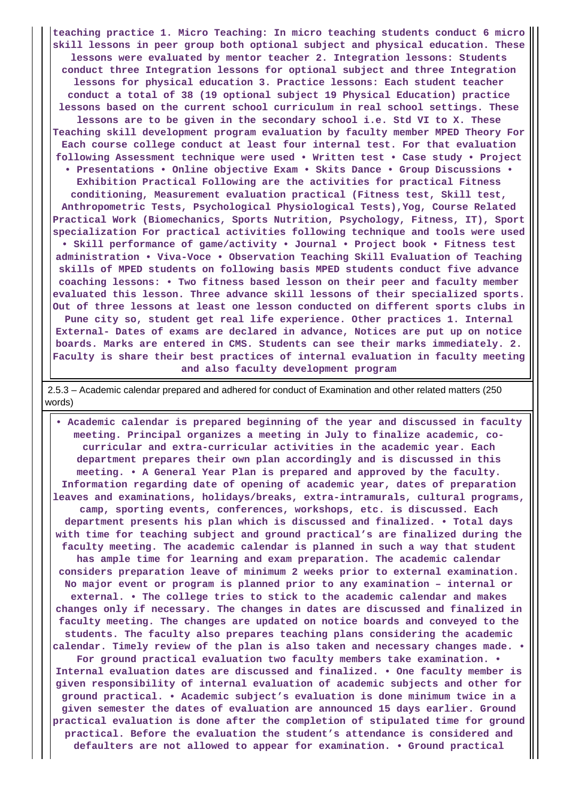**teaching practice 1. Micro Teaching: In micro teaching students conduct 6 micro skill lessons in peer group both optional subject and physical education. These lessons were evaluated by mentor teacher 2. Integration lessons: Students conduct three Integration lessons for optional subject and three Integration lessons for physical education 3. Practice lessons: Each student teacher conduct a total of 38 (19 optional subject 19 Physical Education) practice lessons based on the current school curriculum in real school settings. These lessons are to be given in the secondary school i.e. Std VI to X. These Teaching skill development program evaluation by faculty member MPED Theory For Each course college conduct at least four internal test. For that evaluation following Assessment technique were used • Written test • Case study • Project • Presentations • Online objective Exam • Skits Dance • Group Discussions • Exhibition Practical Following are the activities for practical Fitness conditioning, Measurement evaluation practical (Fitness test, Skill test, Anthropometric Tests, Psychological Physiological Tests),Yog, Course Related Practical Work (Biomechanics, Sports Nutrition, Psychology, Fitness, IT), Sport specialization For practical activities following technique and tools were used • Skill performance of game/activity • Journal • Project book • Fitness test administration • Viva-Voce • Observation Teaching Skill Evaluation of Teaching skills of MPED students on following basis MPED students conduct five advance coaching lessons: • Two fitness based lesson on their peer and faculty member evaluated this lesson. Three advance skill lessons of their specialized sports. Out of three lessons at least one lesson conducted on different sports clubs in Pune city so, student get real life experience. Other practices 1. Internal External- Dates of exams are declared in advance, Notices are put up on notice boards. Marks are entered in CMS. Students can see their marks immediately. 2. Faculty is share their best practices of internal evaluation in faculty meeting and also faculty development program**

 2.5.3 – Academic calendar prepared and adhered for conduct of Examination and other related matters (250 words)

 **• Academic calendar is prepared beginning of the year and discussed in faculty meeting. Principal organizes a meeting in July to finalize academic, cocurricular and extra-curricular activities in the academic year. Each department prepares their own plan accordingly and is discussed in this meeting. • A General Year Plan is prepared and approved by the faculty. Information regarding date of opening of academic year, dates of preparation leaves and examinations, holidays/breaks, extra-intramurals, cultural programs, camp, sporting events, conferences, workshops, etc. is discussed. Each department presents his plan which is discussed and finalized. • Total days with time for teaching subject and ground practical's are finalized during the faculty meeting. The academic calendar is planned in such a way that student has ample time for learning and exam preparation. The academic calendar considers preparation leave of minimum 2 weeks prior to external examination. No major event or program is planned prior to any examination – internal or external. • The college tries to stick to the academic calendar and makes changes only if necessary. The changes in dates are discussed and finalized in faculty meeting. The changes are updated on notice boards and conveyed to the students. The faculty also prepares teaching plans considering the academic calendar. Timely review of the plan is also taken and necessary changes made. • For ground practical evaluation two faculty members take examination. • Internal evaluation dates are discussed and finalized. • One faculty member is given responsibility of internal evaluation of academic subjects and other for ground practical. • Academic subject's evaluation is done minimum twice in a given semester the dates of evaluation are announced 15 days earlier. Ground practical evaluation is done after the completion of stipulated time for ground practical. Before the evaluation the student's attendance is considered and defaulters are not allowed to appear for examination. • Ground practical**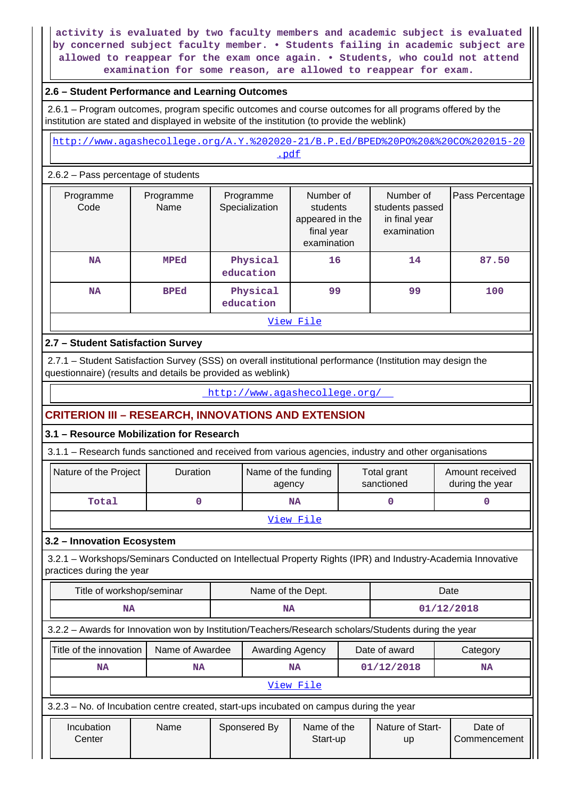**activity is evaluated by two faculty members and academic subject is evaluated by concerned subject faculty member. • Students failing in academic subject are allowed to reappear for the exam once again. • Students, who could not attend examination for some reason, are allowed to reappear for exam.**

## **2.6 – Student Performance and Learning Outcomes**

 2.6.1 – Program outcomes, program specific outcomes and course outcomes for all programs offered by the institution are stated and displayed in website of the institution (to provide the weblink)

 [http://www.agashecollege.org/A.Y.%202020-21/B.P.Ed/BPED%20PO%20&%20CO%202015-20](http://www.agashecollege.org/A.Y.%202020-21/B.P.Ed/BPED%20PO%20&%20CO%202015-20.pdf) [.pdf](http://www.agashecollege.org/A.Y.%202020-21/B.P.Ed/BPED%20PO%20&%20CO%202015-20.pdf)

#### 2.6.2 – Pass percentage of students

| Programme<br>Code | Programme<br>Name | Programme<br>Specialization | Number of<br>students<br>appeared in the<br>final year<br>examination | Number of<br>students passed<br>in final year<br>examination | Pass Percentage |  |  |
|-------------------|-------------------|-----------------------------|-----------------------------------------------------------------------|--------------------------------------------------------------|-----------------|--|--|
| <b>NA</b>         | <b>MPEd</b>       | Physical<br>education       | 16                                                                    | 14                                                           | 87.50           |  |  |
| <b>NA</b>         | <b>BPEd</b>       | Physical<br>education       | 99                                                                    | 99                                                           | 100             |  |  |
| View File         |                   |                             |                                                                       |                                                              |                 |  |  |

## **2.7 – Student Satisfaction Survey**

 2.7.1 – Student Satisfaction Survey (SSS) on overall institutional performance (Institution may design the questionnaire) (results and details be provided as weblink)

<http://www.agashecollege.org/>

## **CRITERION III – RESEARCH, INNOVATIONS AND EXTENSION**

## **3.1 – Resource Mobilization for Research**

3.1.1 – Research funds sanctioned and received from various agencies, industry and other organisations

| Nature of the Project | Duration | Name of the funding<br>agency | Total grant<br>sanctioned | Amount received<br>during the year |  |  |
|-----------------------|----------|-------------------------------|---------------------------|------------------------------------|--|--|
| Total                 |          | NA                            |                           |                                    |  |  |
| View File             |          |                               |                           |                                    |  |  |

## **3.2 – Innovation Ecosystem**

 3.2.1 – Workshops/Seminars Conducted on Intellectual Property Rights (IPR) and Industry-Academia Innovative practices during the year

| Title of workshop/seminar                                                                            |                 |  | Name of the Dept.      |                         |  |                               | Date                    |  |
|------------------------------------------------------------------------------------------------------|-----------------|--|------------------------|-------------------------|--|-------------------------------|-------------------------|--|
| NA                                                                                                   |                 |  | <b>NA</b>              |                         |  |                               | 01/12/2018              |  |
| 3.2.2 - Awards for Innovation won by Institution/Teachers/Research scholars/Students during the year |                 |  |                        |                         |  |                               |                         |  |
| Title of the innovation                                                                              | Name of Awardee |  | <b>Awarding Agency</b> |                         |  | Date of award                 | Category                |  |
| <b>NA</b>                                                                                            | <b>NA</b>       |  |                        | <b>NA</b>               |  | 01/12/2018                    | <b>NA</b>               |  |
|                                                                                                      |                 |  |                        | View File               |  |                               |                         |  |
| 3.2.3 – No. of Incubation centre created, start-ups incubated on campus during the year              |                 |  |                        |                         |  |                               |                         |  |
| Incubation<br>Center                                                                                 | Name            |  | Sponsered By           | Name of the<br>Start-up |  | Nature of Start-<br><b>up</b> | Date of<br>Commencement |  |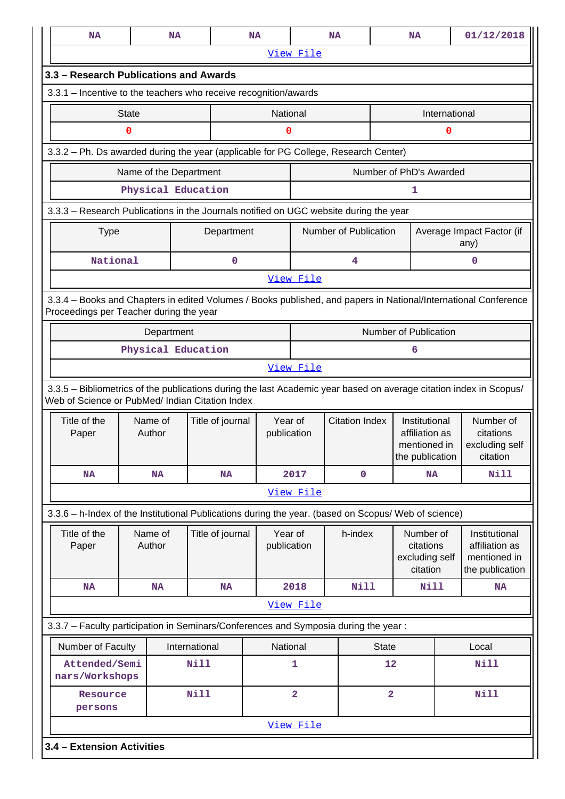| <b>NA</b>                                                                                                                                                  |                        | <b>NA</b>     | <b>NA</b>                  |                        |                         | <b>NA</b>             |                | <b>NA</b>                                                                                                                                                                                                                                                                                                                                                                                                                                                                                                                                                                         |  | 01/12/2018      |  |
|------------------------------------------------------------------------------------------------------------------------------------------------------------|------------------------|---------------|----------------------------|------------------------|-------------------------|-----------------------|----------------|-----------------------------------------------------------------------------------------------------------------------------------------------------------------------------------------------------------------------------------------------------------------------------------------------------------------------------------------------------------------------------------------------------------------------------------------------------------------------------------------------------------------------------------------------------------------------------------|--|-----------------|--|
|                                                                                                                                                            |                        |               |                            |                        | View File               |                       |                |                                                                                                                                                                                                                                                                                                                                                                                                                                                                                                                                                                                   |  |                 |  |
| 3.3 - Research Publications and Awards                                                                                                                     |                        |               |                            |                        |                         |                       |                |                                                                                                                                                                                                                                                                                                                                                                                                                                                                                                                                                                                   |  |                 |  |
| 3.3.1 - Incentive to the teachers who receive recognition/awards                                                                                           |                        |               |                            |                        |                         |                       |                |                                                                                                                                                                                                                                                                                                                                                                                                                                                                                                                                                                                   |  |                 |  |
|                                                                                                                                                            | <b>State</b>           |               |                            | National               |                         |                       |                | International<br>0<br>Number of PhD's Awarded<br>1<br>Average Impact Factor (if<br>any)<br>0<br>6<br>3.3.5 - Bibliometrics of the publications during the last Academic year based on average citation index in Scopus/<br>Number of<br>Institutional<br>affiliation as<br>citations<br>mentioned in<br>excluding self<br>the publication<br>citation<br>Nill<br><b>NA</b><br>3.3.6 - h-Index of the Institutional Publications during the year. (based on Scopus/ Web of science)<br>Number of<br>Institutional<br>citations<br>affiliation as<br>excluding self<br>mentioned in |  |                 |  |
|                                                                                                                                                            | 0                      |               |                            | 0                      |                         |                       |                |                                                                                                                                                                                                                                                                                                                                                                                                                                                                                                                                                                                   |  |                 |  |
| 3.3.2 - Ph. Ds awarded during the year (applicable for PG College, Research Center)                                                                        |                        |               |                            |                        |                         |                       |                |                                                                                                                                                                                                                                                                                                                                                                                                                                                                                                                                                                                   |  |                 |  |
|                                                                                                                                                            | Name of the Department |               |                            |                        |                         |                       |                |                                                                                                                                                                                                                                                                                                                                                                                                                                                                                                                                                                                   |  |                 |  |
|                                                                                                                                                            | Physical Education     |               |                            |                        |                         |                       |                |                                                                                                                                                                                                                                                                                                                                                                                                                                                                                                                                                                                   |  |                 |  |
| 3.3.3 - Research Publications in the Journals notified on UGC website during the year                                                                      |                        |               |                            |                        |                         |                       |                |                                                                                                                                                                                                                                                                                                                                                                                                                                                                                                                                                                                   |  |                 |  |
| <b>Type</b>                                                                                                                                                |                        |               | Department                 |                        |                         | Number of Publication |                |                                                                                                                                                                                                                                                                                                                                                                                                                                                                                                                                                                                   |  |                 |  |
| National                                                                                                                                                   |                        |               | $\mathbf 0$                |                        |                         | 4                     |                |                                                                                                                                                                                                                                                                                                                                                                                                                                                                                                                                                                                   |  |                 |  |
|                                                                                                                                                            |                        |               |                            |                        | View File               |                       |                |                                                                                                                                                                                                                                                                                                                                                                                                                                                                                                                                                                                   |  |                 |  |
| 3.3.4 - Books and Chapters in edited Volumes / Books published, and papers in National/International Conference<br>Proceedings per Teacher during the year |                        |               |                            |                        |                         |                       |                |                                                                                                                                                                                                                                                                                                                                                                                                                                                                                                                                                                                   |  |                 |  |
| Department                                                                                                                                                 |                        |               |                            |                        |                         |                       |                | Number of Publication                                                                                                                                                                                                                                                                                                                                                                                                                                                                                                                                                             |  |                 |  |
|                                                                                                                                                            | Physical Education     |               |                            |                        |                         |                       |                |                                                                                                                                                                                                                                                                                                                                                                                                                                                                                                                                                                                   |  |                 |  |
|                                                                                                                                                            |                        |               |                            |                        | View File               |                       |                |                                                                                                                                                                                                                                                                                                                                                                                                                                                                                                                                                                                   |  |                 |  |
| Web of Science or PubMed/ Indian Citation Index                                                                                                            |                        |               |                            |                        |                         |                       |                |                                                                                                                                                                                                                                                                                                                                                                                                                                                                                                                                                                                   |  |                 |  |
| Title of the<br>Paper                                                                                                                                      | Name of<br>Author      |               | Title of journal           | Year of<br>publication |                         | <b>Citation Index</b> |                |                                                                                                                                                                                                                                                                                                                                                                                                                                                                                                                                                                                   |  |                 |  |
| NA                                                                                                                                                         | <b>NA</b>              |               | <b>NA</b>                  |                        | 2017                    | $\mathbf 0$           |                |                                                                                                                                                                                                                                                                                                                                                                                                                                                                                                                                                                                   |  |                 |  |
|                                                                                                                                                            |                        |               |                            |                        | View File               |                       |                |                                                                                                                                                                                                                                                                                                                                                                                                                                                                                                                                                                                   |  |                 |  |
|                                                                                                                                                            |                        |               |                            |                        |                         |                       |                |                                                                                                                                                                                                                                                                                                                                                                                                                                                                                                                                                                                   |  |                 |  |
| Title of the<br>Paper                                                                                                                                      | Name of<br>Author      |               | Title of journal           | Year of<br>publication |                         | h-index               |                | citation                                                                                                                                                                                                                                                                                                                                                                                                                                                                                                                                                                          |  | the publication |  |
| NA                                                                                                                                                         | <b>NA</b>              |               | <b>NA</b>                  |                        | 2018                    | Nill                  |                | Nill                                                                                                                                                                                                                                                                                                                                                                                                                                                                                                                                                                              |  | <b>NA</b>       |  |
|                                                                                                                                                            |                        |               |                            |                        | View File               |                       |                |                                                                                                                                                                                                                                                                                                                                                                                                                                                                                                                                                                                   |  |                 |  |
| 3.3.7 - Faculty participation in Seminars/Conferences and Symposia during the year:                                                                        |                        |               |                            |                        |                         |                       |                |                                                                                                                                                                                                                                                                                                                                                                                                                                                                                                                                                                                   |  |                 |  |
| Number of Faculty                                                                                                                                          |                        | International |                            | National               |                         |                       | <b>State</b>   |                                                                                                                                                                                                                                                                                                                                                                                                                                                                                                                                                                                   |  | Local           |  |
| Attended/Semi<br>nars/Workshops                                                                                                                            |                        | Nill          |                            |                        | 1                       |                       | 12             |                                                                                                                                                                                                                                                                                                                                                                                                                                                                                                                                                                                   |  | <b>Nill</b>     |  |
| Resource<br>persons                                                                                                                                        |                        | Nill          |                            |                        | $\overline{\mathbf{2}}$ |                       | $\overline{2}$ | <b>Nill</b>                                                                                                                                                                                                                                                                                                                                                                                                                                                                                                                                                                       |  |                 |  |
|                                                                                                                                                            |                        |               |                            |                        | View File               |                       |                |                                                                                                                                                                                                                                                                                                                                                                                                                                                                                                                                                                                   |  |                 |  |
|                                                                                                                                                            |                        |               | 3.4 - Extension Activities |                        |                         |                       |                |                                                                                                                                                                                                                                                                                                                                                                                                                                                                                                                                                                                   |  |                 |  |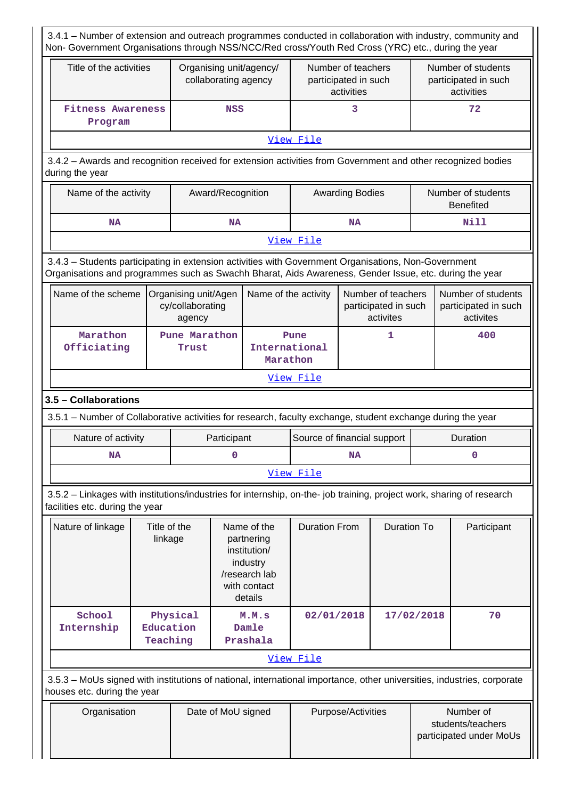3.4.1 – Number of extension and outreach programmes conducted in collaboration with industry, community and Non- Government Organisations through NSS/NCC/Red cross/Youth Red Cross (YRC) etc., during the year Title of the activities | Organising unit/agency/ collaborating agency Number of teachers participated in such activities Number of students participated in such activities  **Fitness Awareness Program NSS** 3 72 [View File](https://assessmentonline.naac.gov.in/public/Postacc/Extension/5291_Extension_1584607997.xlsx) 3.4.2 – Awards and recognition received for extension activities from Government and other recognized bodies during the year Name of the activity  $\begin{array}{|c|c|c|c|c|c|}\n\hline\n\text{Award} & \text{Award} & \text{Award} \\
\text{Award} & \text{Bodies} & \text{Number of students}\n\end{array}$ **Benefited NA NA NA Nill** [View File](https://assessmentonline.naac.gov.in/public/Postacc/Awards_for_extension/5291_Awards_for_extension_1584608093.xlsx) 3.4.3 – Students participating in extension activities with Government Organisations, Non-Government Organisations and programmes such as Swachh Bharat, Aids Awareness, Gender Issue, etc. during the year Name of the scheme  $\sqrt{\frac{1}{1-\frac{1}{1-\frac{1}{1-\frac{1}{1-\frac{1}{1-\frac{1}{1-\frac{1}{1-\frac{1}{1-\frac{1}{1-\frac{1}{1-\frac{1}{1-\frac{1}{1-\frac{1}{1-\frac{1}{1-\frac{1}{1-\frac{1}{1-\frac{1}{1-\frac{1}{1-\frac{1}{1-\frac{1}{1-\frac{1}{1-\frac{1}{1-\frac{1}{1-\frac{1}{1-\frac{1}{1-\frac{1}{1-\frac{1}{1-\frac{1}{1-\frac{1}{1-\frac{1}{1-\frac{1}{1-\frac{1}{1-\frac{1}{1-\$ cy/collaborating agency Name of the activity  $\vert$  Number of teachers participated in such activites Number of students participated in such activites  **Marathon Officiating Pune Marathon Trust Pune International Marathon 1 400** [View File](https://assessmentonline.naac.gov.in/public/Postacc/Students_in_extension/5291_Students_in_extension_1584608309.xlsx) **3.5 – Collaborations** 3.5.1 – Number of Collaborative activities for research, faculty exchange, student exchange during the year Nature of activity  $\parallel$  Participant Source of financial support | Duration  **NA 0 NA 0** [View File](https://assessmentonline.naac.gov.in/public/Postacc/Collab_activities/5291_Collab_activities_1584608337.xlsx) 3.5.2 – Linkages with institutions/industries for internship, on-the- job training, project work, sharing of research facilities etc. during the year Nature of linkage  $\parallel$  Title of the linkage Name of the partnering institution/ industry /research lab with contact details Duration From | Duration To | Participant  **School Internship Physical Education Teaching M.M.s Damle Prashala 02/01/2018 17/02/2018 70** [View File](https://assessmentonline.naac.gov.in/public/Postacc/Linkages/5291_Linkages_1609133474.xlsx) 3.5.3 – MoUs signed with institutions of national, international importance, other universities, industries, corporate houses etc. during the year Organisation | Date of MoU signed | Purpose/Activities | Number of students/teachers participated under MoUs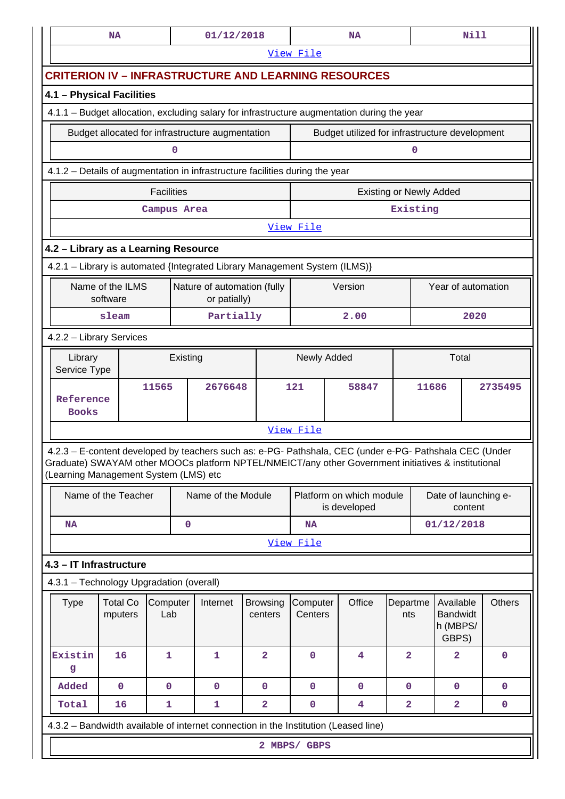| <b>NA</b>                                                                                                                                                                                                                                               | 01/12/2018                                                                                  |             |                    |  |                            |                     |                                                     | <b>NA</b>                      |                         |                                    |                                                   | <b>Nill</b> |               |
|---------------------------------------------------------------------------------------------------------------------------------------------------------------------------------------------------------------------------------------------------------|---------------------------------------------------------------------------------------------|-------------|--------------------|--|----------------------------|---------------------|-----------------------------------------------------|--------------------------------|-------------------------|------------------------------------|---------------------------------------------------|-------------|---------------|
|                                                                                                                                                                                                                                                         |                                                                                             |             |                    |  |                            | View File           |                                                     |                                |                         |                                    |                                                   |             |               |
| <b>CRITERION IV - INFRASTRUCTURE AND LEARNING RESOURCES</b>                                                                                                                                                                                             |                                                                                             |             |                    |  |                            |                     |                                                     |                                |                         |                                    |                                                   |             |               |
| 4.1 - Physical Facilities                                                                                                                                                                                                                               |                                                                                             |             |                    |  |                            |                     |                                                     |                                |                         |                                    |                                                   |             |               |
|                                                                                                                                                                                                                                                         | 4.1.1 - Budget allocation, excluding salary for infrastructure augmentation during the year |             |                    |  |                            |                     |                                                     |                                |                         |                                    |                                                   |             |               |
| Budget allocated for infrastructure augmentation                                                                                                                                                                                                        |                                                                                             |             |                    |  |                            |                     | Budget utilized for infrastructure development      |                                |                         |                                    |                                                   |             |               |
|                                                                                                                                                                                                                                                         |                                                                                             | 0           |                    |  |                            |                     |                                                     |                                |                         | $\mathbf 0$                        |                                                   |             |               |
| 4.1.2 - Details of augmentation in infrastructure facilities during the year                                                                                                                                                                            |                                                                                             |             |                    |  |                            |                     |                                                     |                                |                         |                                    |                                                   |             |               |
|                                                                                                                                                                                                                                                         | <b>Facilities</b>                                                                           |             |                    |  |                            |                     |                                                     | <b>Existing or Newly Added</b> |                         |                                    |                                                   |             |               |
|                                                                                                                                                                                                                                                         | Campus Area                                                                                 |             |                    |  |                            |                     |                                                     |                                | Existing                |                                    |                                                   |             |               |
|                                                                                                                                                                                                                                                         |                                                                                             |             |                    |  |                            | View File           |                                                     |                                |                         |                                    |                                                   |             |               |
| 4.2 - Library as a Learning Resource<br>4.2.1 - Library is automated {Integrated Library Management System (ILMS)}                                                                                                                                      |                                                                                             |             |                    |  |                            |                     |                                                     |                                |                         |                                    |                                                   |             |               |
|                                                                                                                                                                                                                                                         |                                                                                             |             |                    |  |                            |                     |                                                     |                                |                         |                                    |                                                   |             |               |
| software                                                                                                                                                                                                                                                | Name of the ILMS<br>Nature of automation (fully<br>or patially)                             |             |                    |  |                            |                     |                                                     | Version                        |                         | Year of automation                 |                                                   |             |               |
| sleam                                                                                                                                                                                                                                                   | Partially                                                                                   |             |                    |  |                            |                     |                                                     | 2.00                           |                         | 2020                               |                                                   |             |               |
| 4.2.2 - Library Services                                                                                                                                                                                                                                |                                                                                             |             |                    |  |                            |                     |                                                     |                                |                         |                                    |                                                   |             |               |
| Library<br>Existing<br>Service Type                                                                                                                                                                                                                     |                                                                                             |             |                    |  | Newly Added                |                     |                                                     |                                |                         | Total                              |                                                   |             |               |
| Reference<br><b>Books</b>                                                                                                                                                                                                                               | 11565                                                                                       |             | 2676648            |  |                            | 121                 |                                                     | 58847                          |                         | 11686                              |                                                   |             | 2735495       |
|                                                                                                                                                                                                                                                         |                                                                                             |             |                    |  |                            | View File           |                                                     |                                |                         |                                    |                                                   |             |               |
| 4.2.3 – E-content developed by teachers such as: e-PG- Pathshala, CEC (under e-PG- Pathshala CEC (Under<br>Graduate) SWAYAM other MOOCs platform NPTEL/NMEICT/any other Government initiatives & institutional<br>(Learning Management System (LMS) etc |                                                                                             |             |                    |  |                            |                     |                                                     |                                |                         |                                    |                                                   |             |               |
| Name of the Teacher                                                                                                                                                                                                                                     |                                                                                             |             | Name of the Module |  |                            |                     | Platform on which module<br>is developed<br>content |                                |                         |                                    |                                                   |             |               |
| <b>NA</b>                                                                                                                                                                                                                                               |                                                                                             | $\mathbf 0$ |                    |  |                            | <b>NA</b>           |                                                     |                                |                         | Date of launching e-<br>01/12/2018 |                                                   |             |               |
|                                                                                                                                                                                                                                                         |                                                                                             |             |                    |  |                            | View File           |                                                     |                                |                         |                                    |                                                   |             |               |
| 4.3 - IT Infrastructure                                                                                                                                                                                                                                 |                                                                                             |             |                    |  |                            |                     |                                                     |                                |                         |                                    |                                                   |             |               |
| 4.3.1 - Technology Upgradation (overall)                                                                                                                                                                                                                |                                                                                             |             |                    |  |                            |                     |                                                     |                                |                         |                                    |                                                   |             |               |
| <b>Type</b><br><b>Total Co</b><br>mputers                                                                                                                                                                                                               | Computer<br>Lab                                                                             |             | Internet           |  | <b>Browsing</b><br>centers | Computer<br>Centers |                                                     | Office                         | Departme<br>nts         |                                    | Available<br><b>Bandwidt</b><br>h (MBPS/<br>GBPS) |             | <b>Others</b> |
| Existin<br>16<br>g                                                                                                                                                                                                                                      | 1                                                                                           |             | 1                  |  | 2                          | $\mathbf 0$         |                                                     | 4                              | $\mathbf{2}$            |                                    | $\overline{\mathbf{2}}$                           |             | $\mathbf 0$   |
| Added<br>$\mathbf 0$                                                                                                                                                                                                                                    | $\mathbf 0$<br>$\mathbf{0}$<br>$\mathbf 0$                                                  |             |                    |  |                            | $\mathbf 0$         |                                                     | $\mathbf 0$                    | $\mathbf 0$             | $\mathbf 0$<br>$\mathbf 0$         |                                                   |             |               |
| 16<br>Total                                                                                                                                                                                                                                             | 1                                                                                           |             | 1                  |  | $\mathbf{2}$               | $\mathbf 0$         |                                                     | $\overline{\mathbf{4}}$        | $\overline{\mathbf{2}}$ |                                    | $\overline{\mathbf{2}}$                           |             | $\mathbf 0$   |
| 4.3.2 – Bandwidth available of internet connection in the Institution (Leased line)                                                                                                                                                                     |                                                                                             |             |                    |  |                            |                     |                                                     |                                |                         |                                    |                                                   |             |               |
|                                                                                                                                                                                                                                                         |                                                                                             |             |                    |  |                            | 2 MBPS/ GBPS        |                                                     |                                |                         |                                    |                                                   |             |               |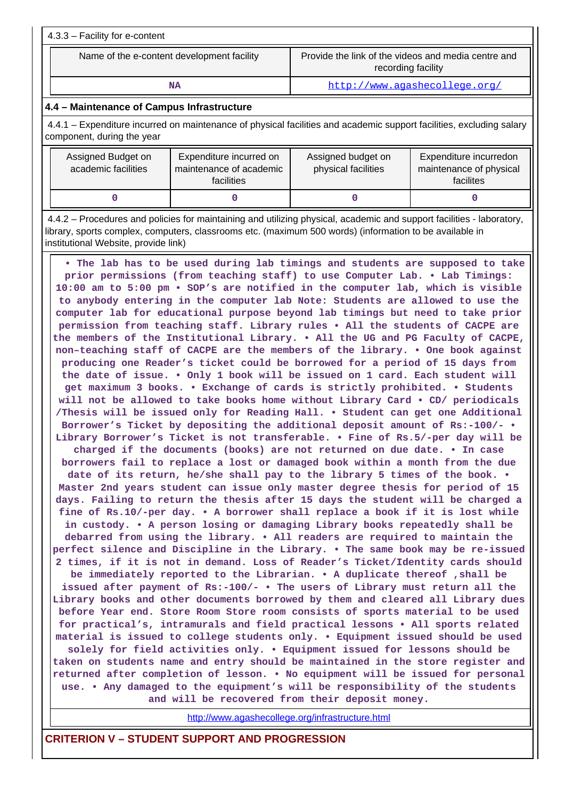|                                                                                                                                                    | Name of the e-content development facility                                                                                                                                                                                                                               | Provide the link of the videos and media centre and<br>recording facility |                                                                |  |  |  |  |
|----------------------------------------------------------------------------------------------------------------------------------------------------|--------------------------------------------------------------------------------------------------------------------------------------------------------------------------------------------------------------------------------------------------------------------------|---------------------------------------------------------------------------|----------------------------------------------------------------|--|--|--|--|
|                                                                                                                                                    | <b>NA</b>                                                                                                                                                                                                                                                                |                                                                           | http://www.agashecollege.org/                                  |  |  |  |  |
| 4.4 - Maintenance of Campus Infrastructure                                                                                                         |                                                                                                                                                                                                                                                                          |                                                                           |                                                                |  |  |  |  |
| 4.4.1 – Expenditure incurred on maintenance of physical facilities and academic support facilities, excluding salary<br>component, during the year |                                                                                                                                                                                                                                                                          |                                                                           |                                                                |  |  |  |  |
| Assigned Budget on<br>academic facilities                                                                                                          | Expenditure incurred on<br>maintenance of academic<br>facilities                                                                                                                                                                                                         | Assigned budget on<br>physical facilities                                 | Expenditure incurredon<br>maintenance of physical<br>facilites |  |  |  |  |
| n                                                                                                                                                  |                                                                                                                                                                                                                                                                          | n                                                                         |                                                                |  |  |  |  |
|                                                                                                                                                    | 4.4.2 - Procedures and policies for maintaining and utilizing physical, academic and support facilities - laboratory,<br>library, sports complex, computers, classrooms etc. (maximum 500 words) (information to be available in<br>institutional Website, provide link) |                                                                           |                                                                |  |  |  |  |

 **• The lab has to be used during lab timings and students are supposed to take prior permissions (from teaching staff) to use Computer Lab. • Lab Timings: 10:00 am to 5:00 pm • SOP's are notified in the computer lab, which is visible to anybody entering in the computer lab Note: Students are allowed to use the computer lab for educational purpose beyond lab timings but need to take prior permission from teaching staff. Library rules • All the students of CACPE are the members of the Institutional Library. • All the UG and PG Faculty of CACPE, non–teaching staff of CACPE are the members of the library. • One book against producing one Reader's ticket could be borrowed for a period of 15 days from the date of issue. • Only 1 book will be issued on 1 card. Each student will get maximum 3 books. • Exchange of cards is strictly prohibited. • Students will not be allowed to take books home without Library Card • CD/ periodicals /Thesis will be issued only for Reading Hall. • Student can get one Additional Borrower's Ticket by depositing the additional deposit amount of Rs:-100/- • Library Borrower's Ticket is not transferable. • Fine of Rs.5/-per day will be charged if the documents (books) are not returned on due date. • In case borrowers fail to replace a lost or damaged book within a month from the due date of its return, he/she shall pay to the library 5 times of the book. • Master 2nd years student can issue only master degree thesis for period of 15 days. Failing to return the thesis after 15 days the student will be charged a fine of Rs.10/-per day. • A borrower shall replace a book if it is lost while in custody. • A person losing or damaging Library books repeatedly shall be debarred from using the library. • All readers are required to maintain the perfect silence and Discipline in the Library. • The same book may be re-issued 2 times, if it is not in demand. Loss of Reader's Ticket/Identity cards should be immediately reported to the Librarian. • A duplicate thereof ,shall be issued after payment of Rs:-100/- • The users of Library must return all the Library books and other documents borrowed by them and cleared all Library dues before Year end. Store Room Store room consists of sports material to be used for practical's, intramurals and field practical lessons • All sports related material is issued to college students only. • Equipment issued should be used solely for field activities only. • Equipment issued for lessons should be taken on students name and entry should be maintained in the store register and returned after completion of lesson. • No equipment will be issued for personal use. • Any damaged to the equipment's will be responsibility of the students and will be recovered from their deposit money.**

<http://www.agashecollege.org/infrastructure.html>

**CRITERION V – STUDENT SUPPORT AND PROGRESSION**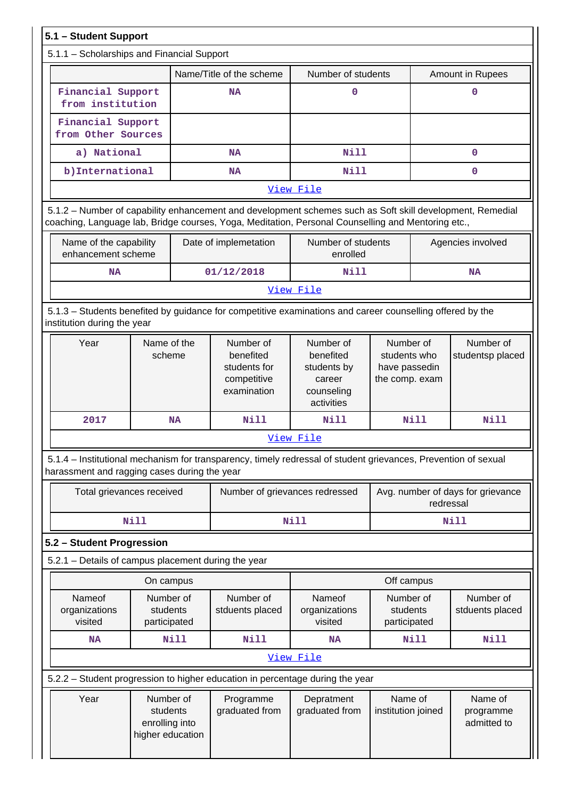|                                            | 5.1 - Student Support                                                                                                                                                                                           |                                       |                             |                                                                                                                |                                                                             |                                                                           |                                                |                              |  |  |
|--------------------------------------------|-----------------------------------------------------------------------------------------------------------------------------------------------------------------------------------------------------------------|---------------------------------------|-----------------------------|----------------------------------------------------------------------------------------------------------------|-----------------------------------------------------------------------------|---------------------------------------------------------------------------|------------------------------------------------|------------------------------|--|--|
| 5.1.1 - Scholarships and Financial Support |                                                                                                                                                                                                                 |                                       |                             |                                                                                                                |                                                                             |                                                                           |                                                |                              |  |  |
|                                            |                                                                                                                                                                                                                 |                                       |                             | Name/Title of the scheme                                                                                       | Number of students                                                          |                                                                           |                                                | Amount in Rupees             |  |  |
|                                            | Financial Support<br>from institution                                                                                                                                                                           |                                       |                             | <b>NA</b>                                                                                                      | 0                                                                           |                                                                           |                                                | 0                            |  |  |
|                                            | Financial Support<br>from Other Sources                                                                                                                                                                         |                                       |                             |                                                                                                                |                                                                             |                                                                           |                                                |                              |  |  |
|                                            | a) National                                                                                                                                                                                                     |                                       | <b>NA</b>                   | Nill                                                                                                           |                                                                             |                                                                           | 0                                              |                              |  |  |
|                                            | b) International                                                                                                                                                                                                |                                       |                             | <b>NA</b>                                                                                                      | Nill                                                                        |                                                                           |                                                | 0                            |  |  |
|                                            |                                                                                                                                                                                                                 |                                       |                             |                                                                                                                | View File                                                                   |                                                                           |                                                |                              |  |  |
|                                            | 5.1.2 - Number of capability enhancement and development schemes such as Soft skill development, Remedial<br>coaching, Language lab, Bridge courses, Yoga, Meditation, Personal Counselling and Mentoring etc., |                                       |                             |                                                                                                                |                                                                             |                                                                           |                                                |                              |  |  |
|                                            | Name of the capability<br>enhancement scheme                                                                                                                                                                    |                                       |                             | Date of implemetation                                                                                          | Number of students<br>enrolled                                              |                                                                           |                                                | Agencies involved            |  |  |
|                                            | <b>NA</b>                                                                                                                                                                                                       |                                       |                             | 01/12/2018                                                                                                     | Nill                                                                        |                                                                           | <b>NA</b>                                      |                              |  |  |
|                                            |                                                                                                                                                                                                                 |                                       |                             |                                                                                                                | View File                                                                   |                                                                           |                                                |                              |  |  |
|                                            | 5.1.3 - Students benefited by guidance for competitive examinations and career counselling offered by the<br>institution during the year                                                                        |                                       |                             |                                                                                                                |                                                                             |                                                                           |                                                |                              |  |  |
|                                            | Year                                                                                                                                                                                                            | Name of the<br>scheme                 |                             | Number of<br>benefited<br>students for<br>competitive<br>examination                                           | Number of<br>benefited<br>students by<br>career<br>counseling<br>activities | Number of<br>Number of<br>students who<br>have passedin<br>the comp. exam |                                                | studentsp placed             |  |  |
|                                            | 2017                                                                                                                                                                                                            | <b>NA</b>                             |                             | <b>Nill</b>                                                                                                    | Nill                                                                        |                                                                           | <b>Nill</b>                                    | <b>Nill</b>                  |  |  |
|                                            |                                                                                                                                                                                                                 |                                       |                             |                                                                                                                | <u>View File</u>                                                            |                                                                           |                                                |                              |  |  |
|                                            | harassment and ragging cases during the year                                                                                                                                                                    |                                       |                             | 5.1.4 – Institutional mechanism for transparency, timely redressal of student grievances, Prevention of sexual |                                                                             |                                                                           |                                                |                              |  |  |
|                                            | Total grievances received                                                                                                                                                                                       |                                       |                             | Number of grievances redressed                                                                                 |                                                                             |                                                                           | Avg. number of days for grievance<br>redressal |                              |  |  |
|                                            |                                                                                                                                                                                                                 | Nill                                  |                             |                                                                                                                | <b>Nill</b>                                                                 |                                                                           | <b>Nill</b>                                    |                              |  |  |
|                                            | 5.2 - Student Progression                                                                                                                                                                                       |                                       |                             |                                                                                                                |                                                                             |                                                                           |                                                |                              |  |  |
|                                            | 5.2.1 - Details of campus placement during the year                                                                                                                                                             |                                       |                             |                                                                                                                |                                                                             |                                                                           |                                                |                              |  |  |
|                                            |                                                                                                                                                                                                                 | On campus                             |                             |                                                                                                                |                                                                             | Off campus                                                                |                                                |                              |  |  |
|                                            | Nameof<br>organizations<br>visited                                                                                                                                                                              | Number of<br>students<br>participated |                             | Number of<br>stduents placed                                                                                   | Nameof<br>organizations<br>visited                                          | Number of<br>students<br>participated                                     |                                                | Number of<br>stduents placed |  |  |
|                                            | <b>NA</b>                                                                                                                                                                                                       | <b>Nill</b>                           |                             | <b>Nill</b>                                                                                                    | <b>NA</b>                                                                   |                                                                           | <b>Nill</b>                                    | Nill                         |  |  |
|                                            |                                                                                                                                                                                                                 |                                       |                             |                                                                                                                | View File                                                                   |                                                                           |                                                |                              |  |  |
|                                            |                                                                                                                                                                                                                 |                                       |                             | 5.2.2 - Student progression to higher education in percentage during the year                                  |                                                                             |                                                                           |                                                |                              |  |  |
|                                            | Year<br>Number of<br>students<br>enrolling into<br>higher education                                                                                                                                             |                                       | Programme<br>graduated from | Depratment<br>graduated from                                                                                   | Name of<br>institution joined                                               |                                                                           | Name of<br>programme<br>admitted to            |                              |  |  |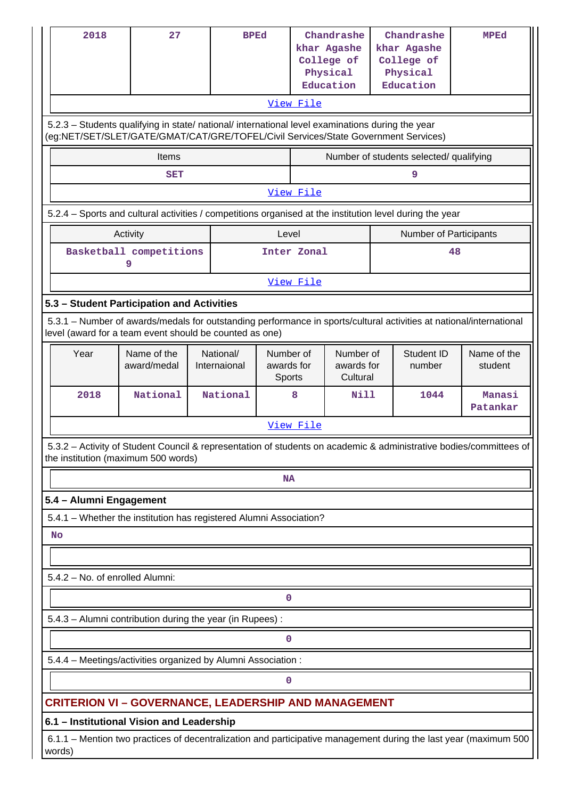| 2018                                                                                                                                                                                   | 27                                                                                                                                                                             |  | <b>BPEd</b>               |                                   |             | Chandrashe<br>khar Agashe<br>College of<br>Physical<br>Education |  | Chandrashe<br>khar Agashe<br>College of<br>Physical<br>Education | <b>MPEd</b>                                                                                                        |
|----------------------------------------------------------------------------------------------------------------------------------------------------------------------------------------|--------------------------------------------------------------------------------------------------------------------------------------------------------------------------------|--|---------------------------|-----------------------------------|-------------|------------------------------------------------------------------|--|------------------------------------------------------------------|--------------------------------------------------------------------------------------------------------------------|
|                                                                                                                                                                                        |                                                                                                                                                                                |  |                           |                                   | View File   |                                                                  |  |                                                                  |                                                                                                                    |
| 5.2.3 - Students qualifying in state/ national/ international level examinations during the year<br>(eg:NET/SET/SLET/GATE/GMAT/CAT/GRE/TOFEL/Civil Services/State Government Services) |                                                                                                                                                                                |  |                           |                                   |             |                                                                  |  |                                                                  |                                                                                                                    |
|                                                                                                                                                                                        | Items                                                                                                                                                                          |  |                           |                                   |             |                                                                  |  | Number of students selected/ qualifying                          |                                                                                                                    |
|                                                                                                                                                                                        | <b>SET</b>                                                                                                                                                                     |  |                           |                                   |             |                                                                  |  | 9                                                                |                                                                                                                    |
|                                                                                                                                                                                        | View File                                                                                                                                                                      |  |                           |                                   |             |                                                                  |  |                                                                  |                                                                                                                    |
| 5.2.4 - Sports and cultural activities / competitions organised at the institution level during the year                                                                               |                                                                                                                                                                                |  |                           |                                   |             |                                                                  |  |                                                                  |                                                                                                                    |
|                                                                                                                                                                                        | Activity<br>Level                                                                                                                                                              |  |                           |                                   |             |                                                                  |  | <b>Number of Participants</b>                                    |                                                                                                                    |
|                                                                                                                                                                                        | Basketball competitions<br>9                                                                                                                                                   |  |                           |                                   | Inter Zonal |                                                                  |  |                                                                  | 48                                                                                                                 |
|                                                                                                                                                                                        |                                                                                                                                                                                |  |                           |                                   | View File   |                                                                  |  |                                                                  |                                                                                                                    |
| 5.3 - Student Participation and Activities                                                                                                                                             |                                                                                                                                                                                |  |                           |                                   |             |                                                                  |  |                                                                  |                                                                                                                    |
|                                                                                                                                                                                        | 5.3.1 - Number of awards/medals for outstanding performance in sports/cultural activities at national/international<br>level (award for a team event should be counted as one) |  |                           |                                   |             |                                                                  |  |                                                                  |                                                                                                                    |
| Year                                                                                                                                                                                   | Name of the<br>award/medal                                                                                                                                                     |  | National/<br>Internaional | Number of<br>awards for<br>Sports |             | Number of<br>awards for<br>Cultural                              |  | Student ID<br>number                                             | Name of the<br>student                                                                                             |
| 2018                                                                                                                                                                                   | National                                                                                                                                                                       |  | National                  |                                   | 8           | Nill                                                             |  | 1044                                                             | Manasi<br>Patankar                                                                                                 |
|                                                                                                                                                                                        |                                                                                                                                                                                |  |                           |                                   | View File   |                                                                  |  |                                                                  |                                                                                                                    |
| the institution (maximum 500 words)                                                                                                                                                    |                                                                                                                                                                                |  |                           |                                   |             |                                                                  |  |                                                                  | 5.3.2 - Activity of Student Council & representation of students on academic & administrative bodies/committees of |
|                                                                                                                                                                                        |                                                                                                                                                                                |  |                           | <b>NA</b>                         |             |                                                                  |  |                                                                  |                                                                                                                    |
| 5.4 - Alumni Engagement                                                                                                                                                                |                                                                                                                                                                                |  |                           |                                   |             |                                                                  |  |                                                                  |                                                                                                                    |
| 5.4.1 - Whether the institution has registered Alumni Association?                                                                                                                     |                                                                                                                                                                                |  |                           |                                   |             |                                                                  |  |                                                                  |                                                                                                                    |
| <b>No</b>                                                                                                                                                                              |                                                                                                                                                                                |  |                           |                                   |             |                                                                  |  |                                                                  |                                                                                                                    |
|                                                                                                                                                                                        |                                                                                                                                                                                |  |                           |                                   |             |                                                                  |  |                                                                  |                                                                                                                    |
| 5.4.2 - No. of enrolled Alumni:                                                                                                                                                        |                                                                                                                                                                                |  |                           |                                   |             |                                                                  |  |                                                                  |                                                                                                                    |
|                                                                                                                                                                                        |                                                                                                                                                                                |  |                           | 0                                 |             |                                                                  |  |                                                                  |                                                                                                                    |
| 5.4.3 - Alumni contribution during the year (in Rupees):                                                                                                                               |                                                                                                                                                                                |  |                           |                                   |             |                                                                  |  |                                                                  |                                                                                                                    |
|                                                                                                                                                                                        |                                                                                                                                                                                |  |                           | 0                                 |             |                                                                  |  |                                                                  |                                                                                                                    |
| 5.4.4 - Meetings/activities organized by Alumni Association:                                                                                                                           |                                                                                                                                                                                |  |                           |                                   |             |                                                                  |  |                                                                  |                                                                                                                    |
|                                                                                                                                                                                        |                                                                                                                                                                                |  |                           | 0                                 |             |                                                                  |  |                                                                  |                                                                                                                    |
| <b>CRITERION VI - GOVERNANCE, LEADERSHIP AND MANAGEMENT</b>                                                                                                                            |                                                                                                                                                                                |  |                           |                                   |             |                                                                  |  |                                                                  |                                                                                                                    |
| 6.1 - Institutional Vision and Leadership                                                                                                                                              |                                                                                                                                                                                |  |                           |                                   |             |                                                                  |  |                                                                  |                                                                                                                    |
| words)                                                                                                                                                                                 |                                                                                                                                                                                |  |                           |                                   |             |                                                                  |  |                                                                  | 6.1.1 - Mention two practices of decentralization and participative management during the last year (maximum 500   |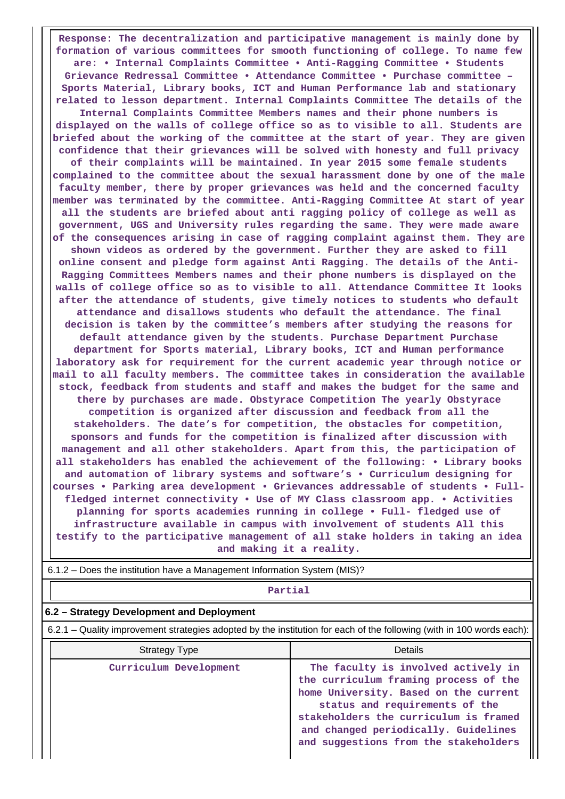**Response: The decentralization and participative management is mainly done by formation of various committees for smooth functioning of college. To name few are: • Internal Complaints Committee • Anti-Ragging Committee • Students Grievance Redressal Committee • Attendance Committee • Purchase committee – Sports Material, Library books, ICT and Human Performance lab and stationary related to lesson department. Internal Complaints Committee The details of the Internal Complaints Committee Members names and their phone numbers is displayed on the walls of college office so as to visible to all. Students are briefed about the working of the committee at the start of year. They are given confidence that their grievances will be solved with honesty and full privacy of their complaints will be maintained. In year 2015 some female students complained to the committee about the sexual harassment done by one of the male faculty member, there by proper grievances was held and the concerned faculty member was terminated by the committee. Anti-Ragging Committee At start of year all the students are briefed about anti ragging policy of college as well as government, UGS and University rules regarding the same. They were made aware of the consequences arising in case of ragging complaint against them. They are shown videos as ordered by the government. Further they are asked to fill online consent and pledge form against Anti Ragging. The details of the Anti-Ragging Committees Members names and their phone numbers is displayed on the walls of college office so as to visible to all. Attendance Committee It looks after the attendance of students, give timely notices to students who default attendance and disallows students who default the attendance. The final decision is taken by the committee's members after studying the reasons for default attendance given by the students. Purchase Department Purchase department for Sports material, Library books, ICT and Human performance laboratory ask for requirement for the current academic year through notice or mail to all faculty members. The committee takes in consideration the available stock, feedback from students and staff and makes the budget for the same and there by purchases are made. Obstyrace Competition The yearly Obstyrace competition is organized after discussion and feedback from all the stakeholders. The date's for competition, the obstacles for competition, sponsors and funds for the competition is finalized after discussion with management and all other stakeholders. Apart from this, the participation of all stakeholders has enabled the achievement of the following: • Library books and automation of library systems and software's • Curriculum designing for courses • Parking area development • Grievances addressable of students • Fullfledged internet connectivity • Use of MY Class classroom app. • Activities planning for sports academies running in college • Full- fledged use of infrastructure available in campus with involvement of students All this testify to the participative management of all stake holders in taking an idea and making it a reality.**

| $0.12 - 1.00$ in the institution nave a management implification overline (ivita)?                                    |                                                                                                                                                                                                                                                                                   |  |  |  |  |
|-----------------------------------------------------------------------------------------------------------------------|-----------------------------------------------------------------------------------------------------------------------------------------------------------------------------------------------------------------------------------------------------------------------------------|--|--|--|--|
| Partial                                                                                                               |                                                                                                                                                                                                                                                                                   |  |  |  |  |
| 6.2 – Strategy Development and Deployment                                                                             |                                                                                                                                                                                                                                                                                   |  |  |  |  |
| 6.2.1 – Quality improvement strategies adopted by the institution for each of the following (with in 100 words each): |                                                                                                                                                                                                                                                                                   |  |  |  |  |
| <b>Strategy Type</b>                                                                                                  | Details                                                                                                                                                                                                                                                                           |  |  |  |  |
| Curriculum Development                                                                                                | The faculty is involved actively in<br>the curriculum framing process of the<br>home University. Based on the current<br>status and requirements of the<br>stakeholders the curriculum is framed<br>and changed periodically. Guidelines<br>and suggestions from the stakeholders |  |  |  |  |

 $\overline{6.1.2}$  – Does the institution have a Management Information System (MIS)?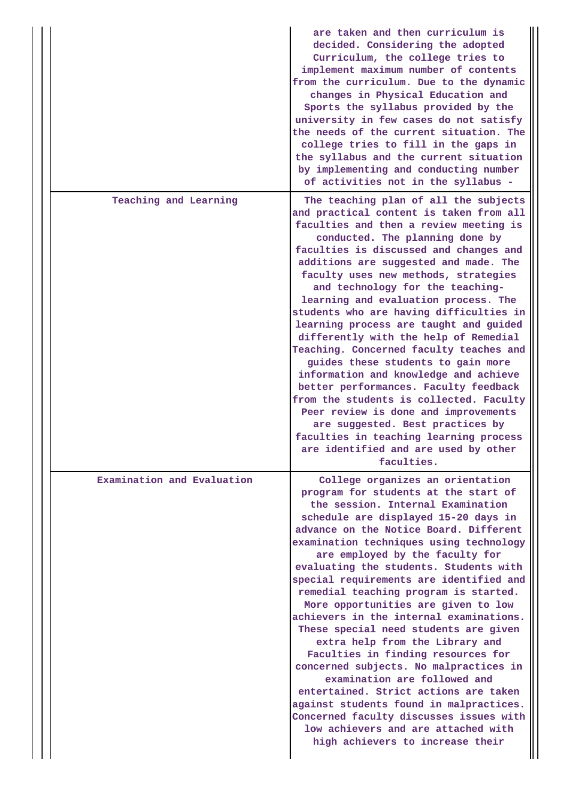|                            | are taken and then curriculum is<br>decided. Considering the adopted<br>Curriculum, the college tries to<br>implement maximum number of contents<br>from the curriculum. Due to the dynamic<br>changes in Physical Education and<br>Sports the syllabus provided by the<br>university in few cases do not satisfy<br>the needs of the current situation. The<br>college tries to fill in the gaps in<br>the syllabus and the current situation<br>by implementing and conducting number<br>of activities not in the syllabus -                                                                                                                                                                                                                                                                                                                                                                      |
|----------------------------|-----------------------------------------------------------------------------------------------------------------------------------------------------------------------------------------------------------------------------------------------------------------------------------------------------------------------------------------------------------------------------------------------------------------------------------------------------------------------------------------------------------------------------------------------------------------------------------------------------------------------------------------------------------------------------------------------------------------------------------------------------------------------------------------------------------------------------------------------------------------------------------------------------|
| Teaching and Learning      | The teaching plan of all the subjects<br>and practical content is taken from all<br>faculties and then a review meeting is<br>conducted. The planning done by<br>faculties is discussed and changes and<br>additions are suggested and made. The<br>faculty uses new methods, strategies<br>and technology for the teaching-<br>learning and evaluation process. The<br>students who are having difficulties in<br>learning process are taught and guided<br>differently with the help of Remedial<br>Teaching. Concerned faculty teaches and<br>guides these students to gain more<br>information and knowledge and achieve<br>better performances. Faculty feedback<br>from the students is collected. Faculty<br>Peer review is done and improvements<br>are suggested. Best practices by<br>faculties in teaching learning process<br>are identified and are used by other<br>faculties.        |
| Examination and Evaluation | College organizes an orientation<br>program for students at the start of<br>the session. Internal Examination<br>schedule are displayed 15-20 days in<br>advance on the Notice Board. Different<br>examination techniques using technology<br>are employed by the faculty for<br>evaluating the students. Students with<br>special requirements are identified and<br>remedial teaching program is started.<br>More opportunities are given to low<br>achievers in the internal examinations.<br>These special need students are given<br>extra help from the Library and<br>Faculties in finding resources for<br>concerned subjects. No malpractices in<br>examination are followed and<br>entertained. Strict actions are taken<br>against students found in malpractices.<br>Concerned faculty discusses issues with<br>low achievers and are attached with<br>high achievers to increase their |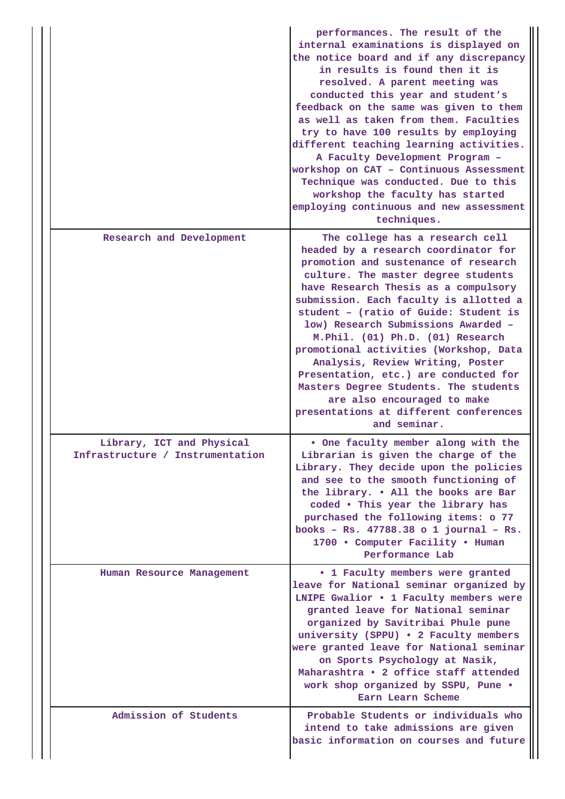|                                                               | performances. The result of the<br>internal examinations is displayed on<br>the notice board and if any discrepancy<br>in results is found then it is<br>resolved. A parent meeting was<br>conducted this year and student's<br>feedback on the same was given to them<br>as well as taken from them. Faculties<br>try to have 100 results by employing<br>different teaching learning activities.<br>A Faculty Development Program -<br>workshop on CAT - Continuous Assessment<br>Technique was conducted. Due to this<br>workshop the faculty has started<br>employing continuous and new assessment<br>techniques. |
|---------------------------------------------------------------|------------------------------------------------------------------------------------------------------------------------------------------------------------------------------------------------------------------------------------------------------------------------------------------------------------------------------------------------------------------------------------------------------------------------------------------------------------------------------------------------------------------------------------------------------------------------------------------------------------------------|
| Research and Development                                      | The college has a research cell<br>headed by a research coordinator for<br>promotion and sustenance of research<br>culture. The master degree students<br>have Research Thesis as a compulsory<br>submission. Each faculty is allotted a<br>student - (ratio of Guide: Student is<br>low) Research Submissions Awarded -<br>M.Phil. (01) Ph.D. (01) Research<br>promotional activities (Workshop, Data<br>Analysis, Review Writing, Poster<br>Presentation, etc.) are conducted for<br>Masters Degree Students. The students<br>are also encouraged to make<br>presentations at different conferences<br>and seminar.  |
| Library, ICT and Physical<br>Infrastructure / Instrumentation | . One faculty member along with the<br>Librarian is given the charge of the<br>Library. They decide upon the policies<br>and see to the smooth functioning of<br>the library. . All the books are Bar<br>coded . This year the library has<br>purchased the following items: o 77<br>books - Rs. $47788.38$ o 1 journal - Rs.<br>1700 . Computer Facility . Human<br>Performance Lab                                                                                                                                                                                                                                   |
| Human Resource Management                                     | • 1 Faculty members were granted<br>leave for National seminar organized by<br>LNIPE Gwalior . 1 Faculty members were<br>granted leave for National seminar<br>organized by Savitribai Phule pune<br>university (SPPU) . 2 Faculty members<br>were granted leave for National seminar<br>on Sports Psychology at Nasik,<br>Maharashtra . 2 office staff attended<br>work shop organized by SSPU, Pune .<br>Earn Learn Scheme                                                                                                                                                                                           |
| Admission of Students                                         | Probable Students or individuals who<br>intend to take admissions are given<br>basic information on courses and future                                                                                                                                                                                                                                                                                                                                                                                                                                                                                                 |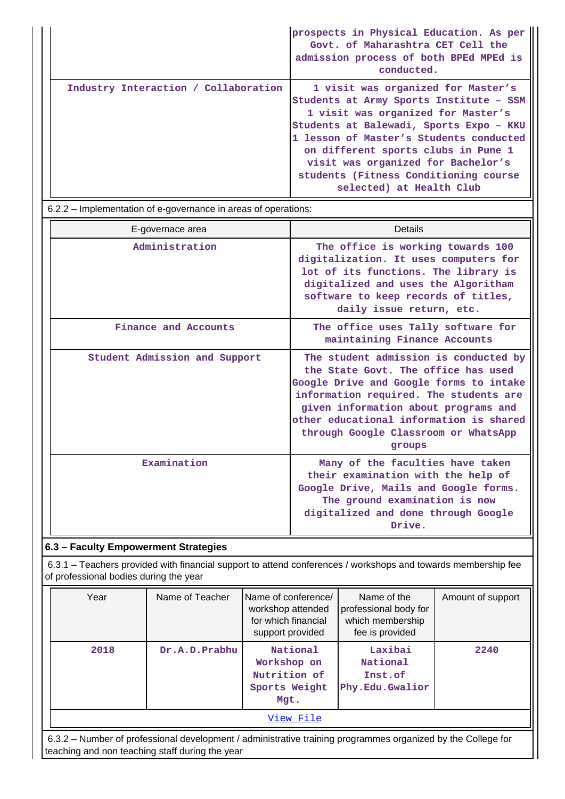|                                      | prospects in Physical Education. As per<br>Govt. of Maharashtra CET Cell the<br>admission process of both BPEd MPEd is<br>conducted.                                                                                                                                                                                                                        |
|--------------------------------------|-------------------------------------------------------------------------------------------------------------------------------------------------------------------------------------------------------------------------------------------------------------------------------------------------------------------------------------------------------------|
| Industry Interaction / Collaboration | 1 visit was organized for Master's<br>Students at Army Sports Institute - SSM<br>1 visit was organized for Master's<br>Students at Balewadi, Sports Expo - KKU<br>1 lesson of Master's Students conducted<br>on different sports clubs in Pune 1<br>visit was organized for Bachelor's<br>students (Fitness Conditioning course<br>selected) at Health Club |

6.2.2 – Implementation of e-governance in areas of operations:

| E-governace area              | Details                                                                                                                                                                                                                                                                                                |
|-------------------------------|--------------------------------------------------------------------------------------------------------------------------------------------------------------------------------------------------------------------------------------------------------------------------------------------------------|
| Administration                | The office is working towards 100<br>digitalization. It uses computers for<br>lot of its functions. The library is<br>digitalized and uses the Algoritham<br>software to keep records of titles,<br>daily issue return, etc.                                                                           |
| Finance and Accounts          | The office uses Tally software for<br>maintaining Finance Accounts                                                                                                                                                                                                                                     |
| Student Admission and Support | The student admission is conducted by<br>the State Govt. The office has used<br>Google Drive and Google forms to intake<br>information required. The students are<br>given information about programs and<br>other educational information is shared<br>through Google Classroom or WhatsApp<br>groups |
| Examination                   | Many of the faculties have taken<br>their examination with the help of<br>Google Drive, Mails and Google forms.<br>The ground examination is now<br>digitalized and done through Google<br>Drive.                                                                                                      |

## **6.3 – Faculty Empowerment Strategies**

 6.3.1 – Teachers provided with financial support to attend conferences / workshops and towards membership fee of professional bodies during the year

| Year      | Name of Teacher | Name of conference/<br>workshop attended<br>for which financial<br>support provided | Name of the<br>professional body for<br>which membership<br>fee is provided | Amount of support |  |  |  |
|-----------|-----------------|-------------------------------------------------------------------------------------|-----------------------------------------------------------------------------|-------------------|--|--|--|
| 2018      | Dr.A.D.Prabhu   | National<br>Workshop on<br>Nutrition of<br>Sports Weight<br>Mqt.                    | Laxibai<br>National<br>Inst.of<br>Phy.Edu.Gwalior                           | 2240              |  |  |  |
| View File |                 |                                                                                     |                                                                             |                   |  |  |  |

 6.3.2 – Number of professional development / administrative training programmes organized by the College for teaching and non teaching staff during the year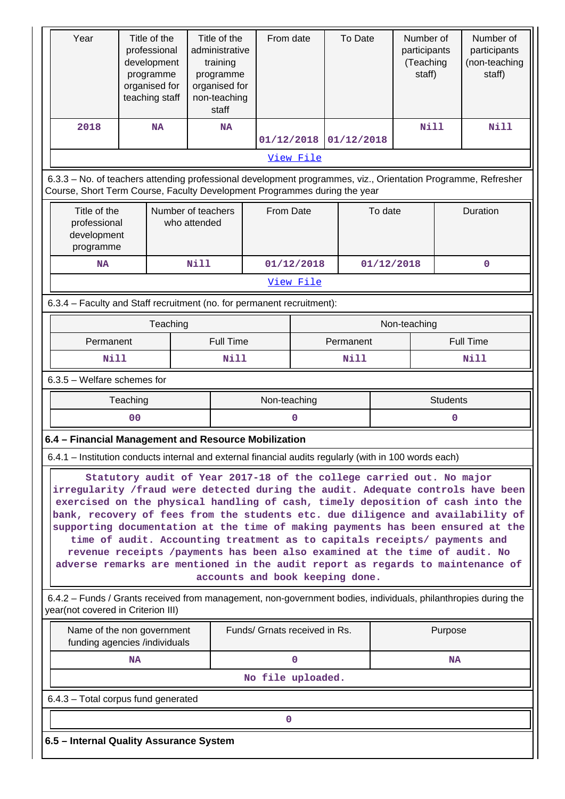| Year                                                                                                                                                                                                                                                                                                                                                                                                                                                                                                                                                                                                                                                                                            |                                                                                   | Title of the<br>professional<br>development<br>programme<br>organised for<br>teaching staff |             | Title of the<br>administrative<br>training<br>programme<br>organised for<br>non-teaching<br>staff | From date  |                               | To Date    |                           | Number of<br>participants<br>(Teaching<br>staff) |                  | Number of<br>participants<br>(non-teaching<br>staff) |
|-------------------------------------------------------------------------------------------------------------------------------------------------------------------------------------------------------------------------------------------------------------------------------------------------------------------------------------------------------------------------------------------------------------------------------------------------------------------------------------------------------------------------------------------------------------------------------------------------------------------------------------------------------------------------------------------------|-----------------------------------------------------------------------------------|---------------------------------------------------------------------------------------------|-------------|---------------------------------------------------------------------------------------------------|------------|-------------------------------|------------|---------------------------|--------------------------------------------------|------------------|------------------------------------------------------|
| 2018                                                                                                                                                                                                                                                                                                                                                                                                                                                                                                                                                                                                                                                                                            |                                                                                   | <b>NA</b>                                                                                   |             | NA                                                                                                | 01/12/2018 |                               | 01/12/2018 |                           | Nill                                             |                  | <b>Nill</b>                                          |
| View File                                                                                                                                                                                                                                                                                                                                                                                                                                                                                                                                                                                                                                                                                       |                                                                                   |                                                                                             |             |                                                                                                   |            |                               |            |                           |                                                  |                  |                                                      |
| 6.3.3 - No. of teachers attending professional development programmes, viz., Orientation Programme, Refresher<br>Course, Short Term Course, Faculty Development Programmes during the year                                                                                                                                                                                                                                                                                                                                                                                                                                                                                                      |                                                                                   |                                                                                             |             |                                                                                                   |            |                               |            |                           |                                                  |                  |                                                      |
| programme                                                                                                                                                                                                                                                                                                                                                                                                                                                                                                                                                                                                                                                                                       | Title of the<br>Number of teachers<br>professional<br>who attended<br>development |                                                                                             |             |                                                                                                   | From Date  |                               |            | To date                   |                                                  | Duration         |                                                      |
| <b>NA</b>                                                                                                                                                                                                                                                                                                                                                                                                                                                                                                                                                                                                                                                                                       |                                                                                   |                                                                                             | <b>Nill</b> |                                                                                                   |            | 01/12/2018                    |            | 01/12/2018<br>$\mathbf 0$ |                                                  |                  |                                                      |
|                                                                                                                                                                                                                                                                                                                                                                                                                                                                                                                                                                                                                                                                                                 |                                                                                   |                                                                                             |             |                                                                                                   |            | View File                     |            |                           |                                                  |                  |                                                      |
| 6.3.4 - Faculty and Staff recruitment (no. for permanent recruitment):                                                                                                                                                                                                                                                                                                                                                                                                                                                                                                                                                                                                                          |                                                                                   |                                                                                             |             |                                                                                                   |            |                               |            |                           |                                                  |                  |                                                      |
|                                                                                                                                                                                                                                                                                                                                                                                                                                                                                                                                                                                                                                                                                                 |                                                                                   | Teaching                                                                                    |             |                                                                                                   |            |                               |            | Non-teaching              |                                                  |                  |                                                      |
| Permanent                                                                                                                                                                                                                                                                                                                                                                                                                                                                                                                                                                                                                                                                                       |                                                                                   |                                                                                             |             | <b>Full Time</b>                                                                                  |            |                               |            | Permanent                 |                                                  | <b>Full Time</b> |                                                      |
| <b>Nill</b>                                                                                                                                                                                                                                                                                                                                                                                                                                                                                                                                                                                                                                                                                     |                                                                                   |                                                                                             |             | <b>Nill</b>                                                                                       |            |                               | Nill       |                           |                                                  | <b>Nill</b>      |                                                      |
| $6.3.5$ – Welfare schemes for                                                                                                                                                                                                                                                                                                                                                                                                                                                                                                                                                                                                                                                                   |                                                                                   |                                                                                             |             |                                                                                                   |            |                               |            |                           |                                                  |                  |                                                      |
|                                                                                                                                                                                                                                                                                                                                                                                                                                                                                                                                                                                                                                                                                                 | Teaching<br>0 <sub>0</sub>                                                        |                                                                                             |             |                                                                                                   |            | Non-teaching                  |            |                           | <b>Students</b><br>0                             |                  |                                                      |
|                                                                                                                                                                                                                                                                                                                                                                                                                                                                                                                                                                                                                                                                                                 |                                                                                   |                                                                                             |             |                                                                                                   |            | 0                             |            |                           |                                                  |                  |                                                      |
| 6.4 - Financial Management and Resource Mobilization<br>6.4.1 – Institution conducts internal and external financial audits regularly (with in 100 words each)                                                                                                                                                                                                                                                                                                                                                                                                                                                                                                                                  |                                                                                   |                                                                                             |             |                                                                                                   |            |                               |            |                           |                                                  |                  |                                                      |
| Statutory audit of Year 2017-18 of the college carried out. No major<br>irregularity /fraud were detected during the audit. Adequate controls have been<br>exercised on the physical handling of cash, timely deposition of cash into the<br>bank, recovery of fees from the students etc. due diligence and availability of<br>supporting documentation at the time of making payments has been ensured at the<br>time of audit. Accounting treatment as to capitals receipts/ payments and<br>revenue receipts /payments has been also examined at the time of audit. No<br>adverse remarks are mentioned in the audit report as regards to maintenance of<br>accounts and book keeping done. |                                                                                   |                                                                                             |             |                                                                                                   |            |                               |            |                           |                                                  |                  |                                                      |
| 6.4.2 – Funds / Grants received from management, non-government bodies, individuals, philanthropies during the<br>year(not covered in Criterion III)                                                                                                                                                                                                                                                                                                                                                                                                                                                                                                                                            |                                                                                   |                                                                                             |             |                                                                                                   |            |                               |            |                           |                                                  |                  |                                                      |
| Name of the non government<br>funding agencies /individuals                                                                                                                                                                                                                                                                                                                                                                                                                                                                                                                                                                                                                                     |                                                                                   |                                                                                             |             |                                                                                                   |            | Funds/ Grnats received in Rs. |            |                           | Purpose                                          |                  |                                                      |
|                                                                                                                                                                                                                                                                                                                                                                                                                                                                                                                                                                                                                                                                                                 | NA                                                                                |                                                                                             |             |                                                                                                   |            | 0                             |            |                           |                                                  | <b>NA</b>        |                                                      |
|                                                                                                                                                                                                                                                                                                                                                                                                                                                                                                                                                                                                                                                                                                 | No file uploaded.                                                                 |                                                                                             |             |                                                                                                   |            |                               |            |                           |                                                  |                  |                                                      |
|                                                                                                                                                                                                                                                                                                                                                                                                                                                                                                                                                                                                                                                                                                 | 6.4.3 - Total corpus fund generated                                               |                                                                                             |             |                                                                                                   |            |                               |            |                           |                                                  |                  |                                                      |
|                                                                                                                                                                                                                                                                                                                                                                                                                                                                                                                                                                                                                                                                                                 |                                                                                   |                                                                                             |             |                                                                                                   | 0          |                               |            |                           |                                                  |                  |                                                      |
| 6.5 - Internal Quality Assurance System                                                                                                                                                                                                                                                                                                                                                                                                                                                                                                                                                                                                                                                         |                                                                                   |                                                                                             |             |                                                                                                   |            |                               |            |                           |                                                  |                  |                                                      |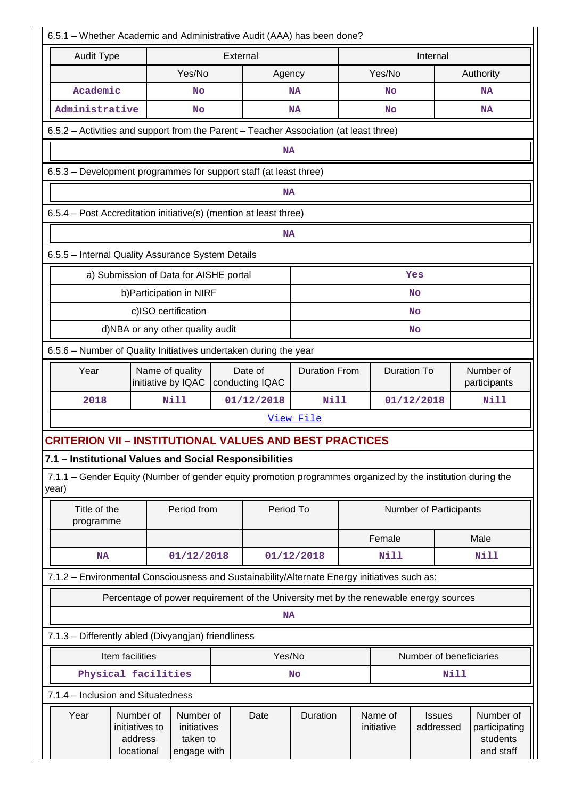| 6.5.1 - Whether Academic and Administrative Audit (AAA) has been done?                                               |                                                                                                             |  |                            |                                            |                           |                       |                            |                                                     |  |  |  |
|----------------------------------------------------------------------------------------------------------------------|-------------------------------------------------------------------------------------------------------------|--|----------------------------|--------------------------------------------|---------------------------|-----------------------|----------------------------|-----------------------------------------------------|--|--|--|
| External<br>Internal<br><b>Audit Type</b>                                                                            |                                                                                                             |  |                            |                                            |                           |                       |                            |                                                     |  |  |  |
|                                                                                                                      | Yes/No                                                                                                      |  | Agency                     |                                            |                           | Yes/No                |                            | Authority                                           |  |  |  |
| Academic                                                                                                             | No                                                                                                          |  |                            | <b>NA</b>                                  |                           | No                    |                            | <b>NA</b>                                           |  |  |  |
| Administrative                                                                                                       | No                                                                                                          |  |                            | <b>NA</b>                                  |                           | <b>No</b>             |                            | <b>NA</b>                                           |  |  |  |
| 6.5.2 – Activities and support from the Parent – Teacher Association (at least three)                                |                                                                                                             |  |                            |                                            |                           |                       |                            |                                                     |  |  |  |
| <b>NA</b>                                                                                                            |                                                                                                             |  |                            |                                            |                           |                       |                            |                                                     |  |  |  |
| 6.5.3 - Development programmes for support staff (at least three)                                                    |                                                                                                             |  |                            |                                            |                           |                       |                            |                                                     |  |  |  |
| ΝA                                                                                                                   |                                                                                                             |  |                            |                                            |                           |                       |                            |                                                     |  |  |  |
| 6.5.4 - Post Accreditation initiative(s) (mention at least three)                                                    |                                                                                                             |  |                            |                                            |                           |                       |                            |                                                     |  |  |  |
|                                                                                                                      |                                                                                                             |  | <b>NA</b>                  |                                            |                           |                       |                            |                                                     |  |  |  |
| 6.5.5 - Internal Quality Assurance System Details                                                                    |                                                                                                             |  |                            |                                            |                           |                       |                            |                                                     |  |  |  |
|                                                                                                                      | a) Submission of Data for AISHE portal<br>Yes                                                               |  |                            |                                            |                           |                       |                            |                                                     |  |  |  |
|                                                                                                                      | b) Participation in NIRF                                                                                    |  |                            |                                            |                           |                       | <b>No</b>                  |                                                     |  |  |  |
|                                                                                                                      | c)ISO certification                                                                                         |  |                            |                                            |                           |                       | <b>No</b>                  |                                                     |  |  |  |
|                                                                                                                      | d)NBA or any other quality audit                                                                            |  |                            | No                                         |                           |                       |                            |                                                     |  |  |  |
| 6.5.6 - Number of Quality Initiatives undertaken during the year                                                     |                                                                                                             |  |                            |                                            |                           |                       |                            |                                                     |  |  |  |
| Year                                                                                                                 | Name of quality<br>initiative by IQAC                                                                       |  | Date of<br>conducting IQAC | <b>Duration From</b><br><b>Duration To</b> |                           |                       |                            | Number of<br>participants                           |  |  |  |
| 2018                                                                                                                 | <b>Nill</b>                                                                                                 |  | 01/12/2018                 |                                            | <b>Nill</b><br>01/12/2018 |                       |                            | Nill                                                |  |  |  |
|                                                                                                                      |                                                                                                             |  |                            | View File                                  |                           |                       |                            |                                                     |  |  |  |
| <b>CRITERION VII – INSTITUTIONAL VALUES AND BEST PRACTICES</b>                                                       |                                                                                                             |  |                            |                                            |                           |                       |                            |                                                     |  |  |  |
| 7.1 - Institutional Values and Social Responsibilities                                                               |                                                                                                             |  |                            |                                            |                           |                       |                            |                                                     |  |  |  |
| 7.1.1 – Gender Equity (Number of gender equity promotion programmes organized by the institution during the<br>year) |                                                                                                             |  |                            |                                            |                           |                       |                            |                                                     |  |  |  |
| Title of the<br>programme                                                                                            | Period from                                                                                                 |  | Period To                  |                                            | Number of Participants    |                       |                            |                                                     |  |  |  |
|                                                                                                                      |                                                                                                             |  |                            |                                            |                           | Female                |                            | Male                                                |  |  |  |
| <b>NA</b>                                                                                                            | 01/12/2018                                                                                                  |  |                            | 01/12/2018                                 | <b>Nill</b>               |                       |                            | Nill                                                |  |  |  |
| 7.1.2 - Environmental Consciousness and Sustainability/Alternate Energy initiatives such as:                         |                                                                                                             |  |                            |                                            |                           |                       |                            |                                                     |  |  |  |
| Percentage of power requirement of the University met by the renewable energy sources                                |                                                                                                             |  |                            |                                            |                           |                       |                            |                                                     |  |  |  |
| <b>NA</b>                                                                                                            |                                                                                                             |  |                            |                                            |                           |                       |                            |                                                     |  |  |  |
| 7.1.3 - Differently abled (Divyangjan) friendliness                                                                  |                                                                                                             |  |                            |                                            |                           |                       |                            |                                                     |  |  |  |
| Item facilities<br>Yes/No<br>Number of beneficiaries                                                                 |                                                                                                             |  |                            |                                            |                           |                       |                            |                                                     |  |  |  |
| Physical facilities<br>Nill<br><b>No</b>                                                                             |                                                                                                             |  |                            |                                            |                           |                       |                            |                                                     |  |  |  |
| 7.1.4 - Inclusion and Situatedness                                                                                   |                                                                                                             |  |                            |                                            |                           |                       |                            |                                                     |  |  |  |
| Year                                                                                                                 | Number of<br>Number of<br>initiatives to<br>initiatives<br>address<br>taken to<br>locational<br>engage with |  | Date                       | Duration                                   |                           | Name of<br>initiative | <b>Issues</b><br>addressed | Number of<br>participating<br>students<br>and staff |  |  |  |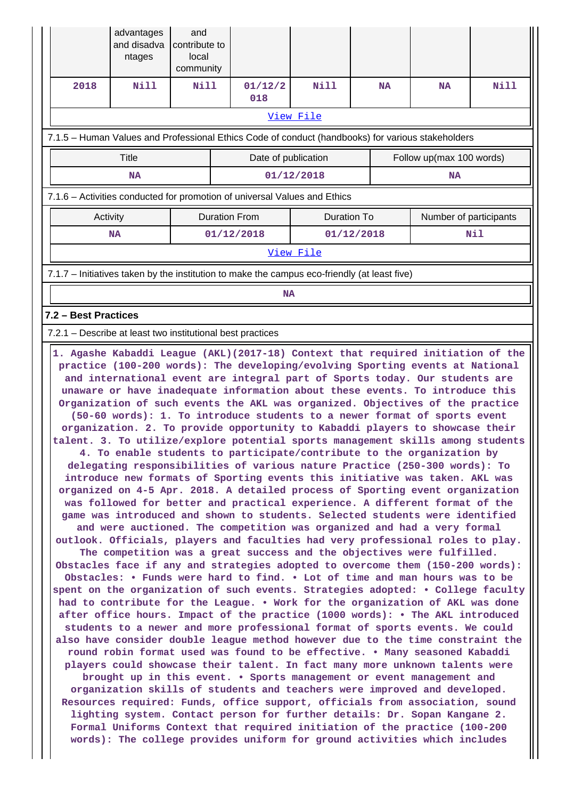|                                                                                                                                                                                                                                                                                                                                                                                                                                                                                                                                                                                                                                                                                                                                                                                                                                                                                                                                                                                                                                                                                                                                                                                                                                                                                                                                                                                                                                                                                                                                                                                                                                                                                                                                                                                                                                                                                                                                                                                                                                                                                                                                                                                                                                                                                                                                                                                                                                                                                                                                                                                                                                                                                               | advantages<br>and disadva<br>ntages                                                               | and<br>contribute to<br>local<br>community |                      |                    |            |                        |             |  |  |  |  |
|-----------------------------------------------------------------------------------------------------------------------------------------------------------------------------------------------------------------------------------------------------------------------------------------------------------------------------------------------------------------------------------------------------------------------------------------------------------------------------------------------------------------------------------------------------------------------------------------------------------------------------------------------------------------------------------------------------------------------------------------------------------------------------------------------------------------------------------------------------------------------------------------------------------------------------------------------------------------------------------------------------------------------------------------------------------------------------------------------------------------------------------------------------------------------------------------------------------------------------------------------------------------------------------------------------------------------------------------------------------------------------------------------------------------------------------------------------------------------------------------------------------------------------------------------------------------------------------------------------------------------------------------------------------------------------------------------------------------------------------------------------------------------------------------------------------------------------------------------------------------------------------------------------------------------------------------------------------------------------------------------------------------------------------------------------------------------------------------------------------------------------------------------------------------------------------------------------------------------------------------------------------------------------------------------------------------------------------------------------------------------------------------------------------------------------------------------------------------------------------------------------------------------------------------------------------------------------------------------------------------------------------------------------------------------------------------------|---------------------------------------------------------------------------------------------------|--------------------------------------------|----------------------|--------------------|------------|------------------------|-------------|--|--|--|--|
| 2018                                                                                                                                                                                                                                                                                                                                                                                                                                                                                                                                                                                                                                                                                                                                                                                                                                                                                                                                                                                                                                                                                                                                                                                                                                                                                                                                                                                                                                                                                                                                                                                                                                                                                                                                                                                                                                                                                                                                                                                                                                                                                                                                                                                                                                                                                                                                                                                                                                                                                                                                                                                                                                                                                          | <b>Nill</b>                                                                                       | Nill                                       | 01/12/2<br>018       | Nill               | <b>NA</b>  | <b>NA</b>              | <b>Nill</b> |  |  |  |  |
|                                                                                                                                                                                                                                                                                                                                                                                                                                                                                                                                                                                                                                                                                                                                                                                                                                                                                                                                                                                                                                                                                                                                                                                                                                                                                                                                                                                                                                                                                                                                                                                                                                                                                                                                                                                                                                                                                                                                                                                                                                                                                                                                                                                                                                                                                                                                                                                                                                                                                                                                                                                                                                                                                               |                                                                                                   |                                            |                      | View File          |            |                        |             |  |  |  |  |
|                                                                                                                                                                                                                                                                                                                                                                                                                                                                                                                                                                                                                                                                                                                                                                                                                                                                                                                                                                                                                                                                                                                                                                                                                                                                                                                                                                                                                                                                                                                                                                                                                                                                                                                                                                                                                                                                                                                                                                                                                                                                                                                                                                                                                                                                                                                                                                                                                                                                                                                                                                                                                                                                                               | 7.1.5 - Human Values and Professional Ethics Code of conduct (handbooks) for various stakeholders |                                            |                      |                    |            |                        |             |  |  |  |  |
|                                                                                                                                                                                                                                                                                                                                                                                                                                                                                                                                                                                                                                                                                                                                                                                                                                                                                                                                                                                                                                                                                                                                                                                                                                                                                                                                                                                                                                                                                                                                                                                                                                                                                                                                                                                                                                                                                                                                                                                                                                                                                                                                                                                                                                                                                                                                                                                                                                                                                                                                                                                                                                                                                               | <b>Title</b><br>Date of publication<br>Follow up(max 100 words)                                   |                                            |                      |                    |            |                        |             |  |  |  |  |
|                                                                                                                                                                                                                                                                                                                                                                                                                                                                                                                                                                                                                                                                                                                                                                                                                                                                                                                                                                                                                                                                                                                                                                                                                                                                                                                                                                                                                                                                                                                                                                                                                                                                                                                                                                                                                                                                                                                                                                                                                                                                                                                                                                                                                                                                                                                                                                                                                                                                                                                                                                                                                                                                                               | <b>NA</b>                                                                                         |                                            |                      | 01/12/2018         |            | <b>NA</b>              |             |  |  |  |  |
|                                                                                                                                                                                                                                                                                                                                                                                                                                                                                                                                                                                                                                                                                                                                                                                                                                                                                                                                                                                                                                                                                                                                                                                                                                                                                                                                                                                                                                                                                                                                                                                                                                                                                                                                                                                                                                                                                                                                                                                                                                                                                                                                                                                                                                                                                                                                                                                                                                                                                                                                                                                                                                                                                               | 7.1.6 - Activities conducted for promotion of universal Values and Ethics                         |                                            |                      |                    |            |                        |             |  |  |  |  |
|                                                                                                                                                                                                                                                                                                                                                                                                                                                                                                                                                                                                                                                                                                                                                                                                                                                                                                                                                                                                                                                                                                                                                                                                                                                                                                                                                                                                                                                                                                                                                                                                                                                                                                                                                                                                                                                                                                                                                                                                                                                                                                                                                                                                                                                                                                                                                                                                                                                                                                                                                                                                                                                                                               | Activity                                                                                          |                                            | <b>Duration From</b> | <b>Duration To</b> |            | Number of participants |             |  |  |  |  |
|                                                                                                                                                                                                                                                                                                                                                                                                                                                                                                                                                                                                                                                                                                                                                                                                                                                                                                                                                                                                                                                                                                                                                                                                                                                                                                                                                                                                                                                                                                                                                                                                                                                                                                                                                                                                                                                                                                                                                                                                                                                                                                                                                                                                                                                                                                                                                                                                                                                                                                                                                                                                                                                                                               | NA                                                                                                |                                            | 01/12/2018           |                    | 01/12/2018 |                        | Nil         |  |  |  |  |
|                                                                                                                                                                                                                                                                                                                                                                                                                                                                                                                                                                                                                                                                                                                                                                                                                                                                                                                                                                                                                                                                                                                                                                                                                                                                                                                                                                                                                                                                                                                                                                                                                                                                                                                                                                                                                                                                                                                                                                                                                                                                                                                                                                                                                                                                                                                                                                                                                                                                                                                                                                                                                                                                                               |                                                                                                   |                                            |                      | View File          |            |                        |             |  |  |  |  |
|                                                                                                                                                                                                                                                                                                                                                                                                                                                                                                                                                                                                                                                                                                                                                                                                                                                                                                                                                                                                                                                                                                                                                                                                                                                                                                                                                                                                                                                                                                                                                                                                                                                                                                                                                                                                                                                                                                                                                                                                                                                                                                                                                                                                                                                                                                                                                                                                                                                                                                                                                                                                                                                                                               | 7.1.7 – Initiatives taken by the institution to make the campus eco-friendly (at least five)      |                                            |                      |                    |            |                        |             |  |  |  |  |
|                                                                                                                                                                                                                                                                                                                                                                                                                                                                                                                                                                                                                                                                                                                                                                                                                                                                                                                                                                                                                                                                                                                                                                                                                                                                                                                                                                                                                                                                                                                                                                                                                                                                                                                                                                                                                                                                                                                                                                                                                                                                                                                                                                                                                                                                                                                                                                                                                                                                                                                                                                                                                                                                                               |                                                                                                   |                                            | <b>NA</b>            |                    |            |                        |             |  |  |  |  |
| 7.2 - Best Practices                                                                                                                                                                                                                                                                                                                                                                                                                                                                                                                                                                                                                                                                                                                                                                                                                                                                                                                                                                                                                                                                                                                                                                                                                                                                                                                                                                                                                                                                                                                                                                                                                                                                                                                                                                                                                                                                                                                                                                                                                                                                                                                                                                                                                                                                                                                                                                                                                                                                                                                                                                                                                                                                          |                                                                                                   |                                            |                      |                    |            |                        |             |  |  |  |  |
|                                                                                                                                                                                                                                                                                                                                                                                                                                                                                                                                                                                                                                                                                                                                                                                                                                                                                                                                                                                                                                                                                                                                                                                                                                                                                                                                                                                                                                                                                                                                                                                                                                                                                                                                                                                                                                                                                                                                                                                                                                                                                                                                                                                                                                                                                                                                                                                                                                                                                                                                                                                                                                                                                               |                                                                                                   |                                            |                      |                    |            |                        |             |  |  |  |  |
| 7.2.1 – Describe at least two institutional best practices<br>1. Agashe Kabaddi League (AKL)(2017-18) Context that required initiation of the<br>practice (100-200 words): The developing/evolving Sporting events at National<br>and international event are integral part of Sports today. Our students are<br>unaware or have inadequate information about these events. To introduce this<br>Organization of such events the AKL was organized. Objectives of the practice<br>(50-60 words): 1. To introduce students to a newer format of sports event<br>organization. 2. To provide opportunity to Kabaddi players to showcase their<br>talent. 3. To utilize/explore potential sports management skills among students<br>4. To enable students to participate/contribute to the organization by<br>delegating responsibilities of various nature Practice (250-300 words): To<br>introduce new formats of Sporting events this initiative was taken. AKL was<br>organized on 4-5 Apr. 2018. A detailed process of Sporting event organization<br>was followed for better and practical experience. A different format of the<br>game was introduced and shown to students. Selected students were identified<br>and were auctioned. The competition was organized and had a very formal<br>outlook. Officials, players and faculties had very professional roles to play.<br>The competition was a great success and the objectives were fulfilled.<br>Obstacles face if any and strategies adopted to overcome them (150-200 words):<br>Obstacles: . Funds were hard to find. . Lot of time and man hours was to be<br>spent on the organization of such events. Strategies adopted: . College faculty<br>had to contribute for the League. . Work for the organization of AKL was done<br>after office hours. Impact of the practice (1000 words): • The AKL introduced<br>students to a newer and more professional format of sports events. We could<br>also have consider double league method however due to the time constraint the<br>round robin format used was found to be effective. . Many seasoned Kabaddi<br>players could showcase their talent. In fact many more unknown talents were<br>brought up in this event. • Sports management or event management and<br>organization skills of students and teachers were improved and developed.<br>Resources required: Funds, office support, officials from association, sound<br>lighting system. Contact person for further details: Dr. Sopan Kangane 2.<br>Formal Uniforms Context that required initiation of the practice (100-200<br>words): The college provides uniform for ground activities which includes |                                                                                                   |                                            |                      |                    |            |                        |             |  |  |  |  |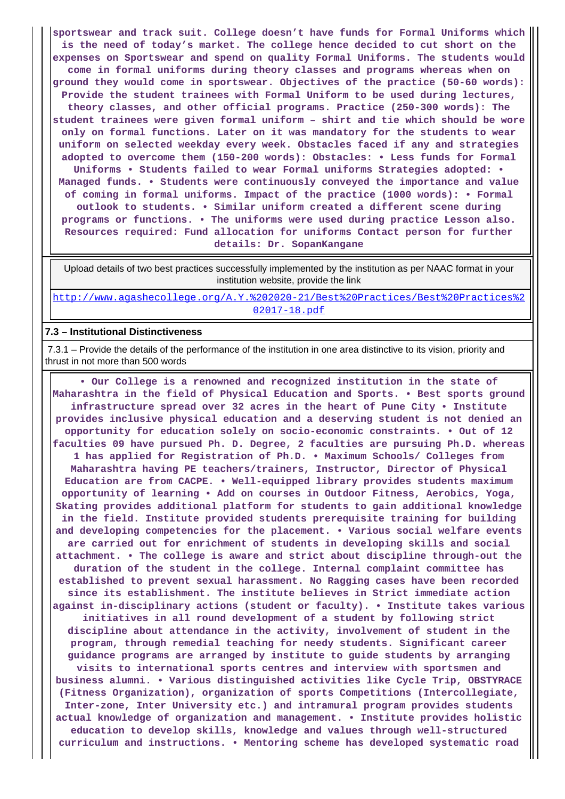**sportswear and track suit. College doesn't have funds for Formal Uniforms which is the need of today's market. The college hence decided to cut short on the expenses on Sportswear and spend on quality Formal Uniforms. The students would come in formal uniforms during theory classes and programs whereas when on ground they would come in sportswear. Objectives of the practice (50-60 words): Provide the student trainees with Formal Uniform to be used during lectures, theory classes, and other official programs. Practice (250-300 words): The student trainees were given formal uniform – shirt and tie which should be wore only on formal functions. Later on it was mandatory for the students to wear uniform on selected weekday every week. Obstacles faced if any and strategies adopted to overcome them (150-200 words): Obstacles: • Less funds for Formal Uniforms • Students failed to wear Formal uniforms Strategies adopted: • Managed funds. • Students were continuously conveyed the importance and value of coming in formal uniforms. Impact of the practice (1000 words): • Formal outlook to students. • Similar uniform created a different scene during programs or functions. • The uniforms were used during practice Lesson also. Resources required: Fund allocation for uniforms Contact person for further details: Dr. SopanKangane**

 Upload details of two best practices successfully implemented by the institution as per NAAC format in your institution website, provide the link

[http://www.agashecollege.org/A.Y.%202020-21/Best%20Practices/Best%20Practices%2](http://www.agashecollege.org/A.Y.%202020-21/Best%20Practices/Best%20Practices%202017-18.pdf) [02017-18.pdf](http://www.agashecollege.org/A.Y.%202020-21/Best%20Practices/Best%20Practices%202017-18.pdf)

#### **7.3 – Institutional Distinctiveness**

 7.3.1 – Provide the details of the performance of the institution in one area distinctive to its vision, priority and thrust in not more than 500 words

 **• Our College is a renowned and recognized institution in the state of Maharashtra in the field of Physical Education and Sports. • Best sports ground infrastructure spread over 32 acres in the heart of Pune City • Institute provides inclusive physical education and a deserving student is not denied an opportunity for education solely on socio-economic constraints. • Out of 12 faculties 09 have pursued Ph. D. Degree, 2 faculties are pursuing Ph.D. whereas 1 has applied for Registration of Ph.D. • Maximum Schools/ Colleges from Maharashtra having PE teachers/trainers, Instructor, Director of Physical Education are from CACPE. • Well-equipped library provides students maximum opportunity of learning • Add on courses in Outdoor Fitness, Aerobics, Yoga, Skating provides additional platform for students to gain additional knowledge in the field. Institute provided students prerequisite training for building and developing competencies for the placement. • Various social welfare events are carried out for enrichment of students in developing skills and social attachment. • The college is aware and strict about discipline through-out the duration of the student in the college. Internal complaint committee has established to prevent sexual harassment. No Ragging cases have been recorded since its establishment. The institute believes in Strict immediate action against in-disciplinary actions (student or faculty). • Institute takes various initiatives in all round development of a student by following strict discipline about attendance in the activity, involvement of student in the program, through remedial teaching for needy students. Significant career guidance programs are arranged by institute to guide students by arranging visits to international sports centres and interview with sportsmen and business alumni. • Various distinguished activities like Cycle Trip, OBSTYRACE (Fitness Organization), organization of sports Competitions (Intercollegiate, Inter-zone, Inter University etc.) and intramural program provides students actual knowledge of organization and management. • Institute provides holistic education to develop skills, knowledge and values through well-structured curriculum and instructions. • Mentoring scheme has developed systematic road**